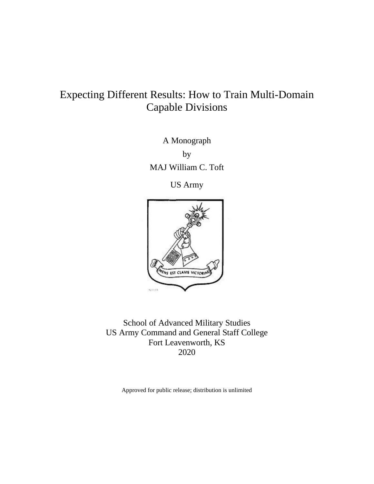# Expecting Different Results: How to Train Multi-Domain Capable Divisions

A Monograph by MAJ William C. Toft

US Army



School of Advanced Military Studies US Army Command and General Staff College Fort Leavenworth, KS 2020

Approved for public release; distribution is unlimited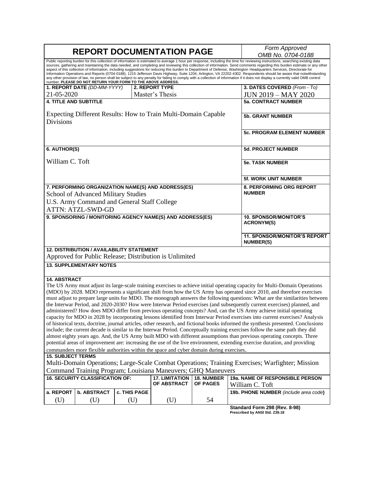| <b>REPORT DOCUMENTATION PAGE</b>                                                                                                                                                                                                                                                                                                                                                                                                                                                                                                                                                                                                                                                                                                                                                                                                                                                                                                                                                                                                                                                                                                                                                                                                                                                                                                                                                                                                                                                                                                                                                                                          | Form Approved<br>OMB No. 0704-0188                      |                 |                                                   |                                           |  |  |
|---------------------------------------------------------------------------------------------------------------------------------------------------------------------------------------------------------------------------------------------------------------------------------------------------------------------------------------------------------------------------------------------------------------------------------------------------------------------------------------------------------------------------------------------------------------------------------------------------------------------------------------------------------------------------------------------------------------------------------------------------------------------------------------------------------------------------------------------------------------------------------------------------------------------------------------------------------------------------------------------------------------------------------------------------------------------------------------------------------------------------------------------------------------------------------------------------------------------------------------------------------------------------------------------------------------------------------------------------------------------------------------------------------------------------------------------------------------------------------------------------------------------------------------------------------------------------------------------------------------------------|---------------------------------------------------------|-----------------|---------------------------------------------------|-------------------------------------------|--|--|
| Public reporting burden for this collection of information is estimated to average 1 hour per response, including the time for reviewing instructions, searching existing data<br>sources, gathering and maintaining the data needed, and completing and reviewing this collection of information. Send comments regarding this burden estimate or any other<br>aspect of this collection of information, including suggestions for reducing this burden to Department of Defense, Washington Headquarters Services, Directorate for<br>Information Operations and Reports (0704-0188), 1215 Jefferson Davis Highway, Suite 1204, Arlington, VA 22202-4302. Respondents should be aware that notwithstanding<br>any other provision of law, no person shall be subject to any penalty for failing to comply with a collection of information if it does not display a currently valid OMB control<br>number. PLEASE DO NOT RETURN YOUR FORM TO THE ABOVE ADDRESS.                                                                                                                                                                                                                                                                                                                                                                                                                                                                                                                                                                                                                                                         |                                                         |                 |                                                   |                                           |  |  |
| 1. REPORT DATE (DD-MM-YYYY)                                                                                                                                                                                                                                                                                                                                                                                                                                                                                                                                                                                                                                                                                                                                                                                                                                                                                                                                                                                                                                                                                                                                                                                                                                                                                                                                                                                                                                                                                                                                                                                               |                                                         | 2. REPORT TYPE  |                                                   | 3. DATES COVERED (From - To)              |  |  |
| 21-05-2020                                                                                                                                                                                                                                                                                                                                                                                                                                                                                                                                                                                                                                                                                                                                                                                                                                                                                                                                                                                                                                                                                                                                                                                                                                                                                                                                                                                                                                                                                                                                                                                                                |                                                         | Master's Thesis |                                                   | <b>JUN 2019 - MAY 2020</b>                |  |  |
| <b>4. TITLE AND SUBTITLE</b>                                                                                                                                                                                                                                                                                                                                                                                                                                                                                                                                                                                                                                                                                                                                                                                                                                                                                                                                                                                                                                                                                                                                                                                                                                                                                                                                                                                                                                                                                                                                                                                              |                                                         |                 |                                                   | <b>5a. CONTRACT NUMBER</b>                |  |  |
| Expecting Different Results: How to Train Multi-Domain Capable<br><b>Divisions</b>                                                                                                                                                                                                                                                                                                                                                                                                                                                                                                                                                                                                                                                                                                                                                                                                                                                                                                                                                                                                                                                                                                                                                                                                                                                                                                                                                                                                                                                                                                                                        |                                                         |                 | <b>5b. GRANT NUMBER</b>                           |                                           |  |  |
|                                                                                                                                                                                                                                                                                                                                                                                                                                                                                                                                                                                                                                                                                                                                                                                                                                                                                                                                                                                                                                                                                                                                                                                                                                                                                                                                                                                                                                                                                                                                                                                                                           |                                                         |                 |                                                   | <b>5c. PROGRAM ELEMENT NUMBER</b>         |  |  |
| 6. AUTHOR(S)                                                                                                                                                                                                                                                                                                                                                                                                                                                                                                                                                                                                                                                                                                                                                                                                                                                                                                                                                                                                                                                                                                                                                                                                                                                                                                                                                                                                                                                                                                                                                                                                              |                                                         |                 |                                                   | <b>5d. PROJECT NUMBER</b>                 |  |  |
| William C. Toft                                                                                                                                                                                                                                                                                                                                                                                                                                                                                                                                                                                                                                                                                                                                                                                                                                                                                                                                                                                                                                                                                                                                                                                                                                                                                                                                                                                                                                                                                                                                                                                                           |                                                         |                 |                                                   | <b>5e. TASK NUMBER</b>                    |  |  |
|                                                                                                                                                                                                                                                                                                                                                                                                                                                                                                                                                                                                                                                                                                                                                                                                                                                                                                                                                                                                                                                                                                                                                                                                                                                                                                                                                                                                                                                                                                                                                                                                                           | <b>5f. WORK UNIT NUMBER</b>                             |                 |                                                   |                                           |  |  |
| 7. PERFORMING ORGANIZATION NAME(S) AND ADDRESS(ES)                                                                                                                                                                                                                                                                                                                                                                                                                                                                                                                                                                                                                                                                                                                                                                                                                                                                                                                                                                                                                                                                                                                                                                                                                                                                                                                                                                                                                                                                                                                                                                        |                                                         |                 |                                                   | 8. PERFORMING ORG REPORT<br><b>NUMBER</b> |  |  |
| School of Advanced Military Studies                                                                                                                                                                                                                                                                                                                                                                                                                                                                                                                                                                                                                                                                                                                                                                                                                                                                                                                                                                                                                                                                                                                                                                                                                                                                                                                                                                                                                                                                                                                                                                                       |                                                         |                 |                                                   |                                           |  |  |
| U.S. Army Command and General Staff College                                                                                                                                                                                                                                                                                                                                                                                                                                                                                                                                                                                                                                                                                                                                                                                                                                                                                                                                                                                                                                                                                                                                                                                                                                                                                                                                                                                                                                                                                                                                                                               |                                                         |                 |                                                   |                                           |  |  |
| <b>ATTN: ATZL-SWD-GD</b>                                                                                                                                                                                                                                                                                                                                                                                                                                                                                                                                                                                                                                                                                                                                                                                                                                                                                                                                                                                                                                                                                                                                                                                                                                                                                                                                                                                                                                                                                                                                                                                                  |                                                         |                 |                                                   |                                           |  |  |
| 9. SPONSORING / MONITORING AGENCY NAME(S) AND ADDRESS(ES)                                                                                                                                                                                                                                                                                                                                                                                                                                                                                                                                                                                                                                                                                                                                                                                                                                                                                                                                                                                                                                                                                                                                                                                                                                                                                                                                                                                                                                                                                                                                                                 |                                                         |                 | <b>10. SPONSOR/MONITOR'S</b><br><b>ACRONYM(S)</b> |                                           |  |  |
|                                                                                                                                                                                                                                                                                                                                                                                                                                                                                                                                                                                                                                                                                                                                                                                                                                                                                                                                                                                                                                                                                                                                                                                                                                                                                                                                                                                                                                                                                                                                                                                                                           | <b>11. SPONSOR/MONITOR'S REPORT</b><br><b>NUMBER(S)</b> |                 |                                                   |                                           |  |  |
| 12. DISTRIBUTION / AVAILABILITY STATEMENT                                                                                                                                                                                                                                                                                                                                                                                                                                                                                                                                                                                                                                                                                                                                                                                                                                                                                                                                                                                                                                                                                                                                                                                                                                                                                                                                                                                                                                                                                                                                                                                 |                                                         |                 |                                                   |                                           |  |  |
| Approved for Public Release; Distribution is Unlimited                                                                                                                                                                                                                                                                                                                                                                                                                                                                                                                                                                                                                                                                                                                                                                                                                                                                                                                                                                                                                                                                                                                                                                                                                                                                                                                                                                                                                                                                                                                                                                    |                                                         |                 |                                                   |                                           |  |  |
| <b>13. SUPPLEMENTARY NOTES</b>                                                                                                                                                                                                                                                                                                                                                                                                                                                                                                                                                                                                                                                                                                                                                                                                                                                                                                                                                                                                                                                                                                                                                                                                                                                                                                                                                                                                                                                                                                                                                                                            |                                                         |                 |                                                   |                                           |  |  |
| <b>14. ABSTRACT</b><br>The US Army must adjust its large-scale training exercises to achieve initial operating capacity for Multi-Domain Operations<br>(MDO) by 2028. MDO represents a significant shift from how the US Army has operated since 2010, and therefore exercises<br>must adjust to prepare large units for MDO. The monograph answers the following questions: What are the similarities between<br>the Interwar Period, and 2020-2030? How were Interwar Period exercises (and subsequently current exercises) planned, and<br>administered? How does MDO differ from previous operating concepts? And, can the US Army achieve initial operating<br>capacity for MDO in 2028 by incorporating lessons identified from Interwar Period exercises into current exercises? Analysis<br>of historical texts, doctrine, journal articles, other research, and fictional books informed the synthesis presented. Conclusions<br>include; the current decade is similar to the Interwar Period. Conceptually training exercises follow the same path they did<br>almost eighty years ago. And, the US Army built MDO with different assumptions than previous operating concepts. Three<br>potential areas of improvement are: increasing the use of the live environment, extending exercise duration, and providing<br>commanders more flexible authorities within the space and cyber domain during exercises.<br><b>15. SUBJECT TERMS</b><br>Multi-Domain Operations; Large-Scale Combat Operations; Training Exercises; Warfighter; Mission<br>Command Training Program; Louisiana Maneuvers; GHQ Maneuvers |                                                         |                 |                                                   |                                           |  |  |
| <b>16. SECURITY CLASSIFICATION OF:</b><br><b>17. LIMITATION</b><br><b>18. NUMBER</b>                                                                                                                                                                                                                                                                                                                                                                                                                                                                                                                                                                                                                                                                                                                                                                                                                                                                                                                                                                                                                                                                                                                                                                                                                                                                                                                                                                                                                                                                                                                                      |                                                         |                 | 19a. NAME OF RESPONSIBLE PERSON                   |                                           |  |  |
|                                                                                                                                                                                                                                                                                                                                                                                                                                                                                                                                                                                                                                                                                                                                                                                                                                                                                                                                                                                                                                                                                                                                                                                                                                                                                                                                                                                                                                                                                                                                                                                                                           |                                                         | OF ABSTRACT     | <b>OF PAGES</b>                                   | William C. Toft                           |  |  |
| <b>b. ABSTRACT</b><br>a. REPORT                                                                                                                                                                                                                                                                                                                                                                                                                                                                                                                                                                                                                                                                                                                                                                                                                                                                                                                                                                                                                                                                                                                                                                                                                                                                                                                                                                                                                                                                                                                                                                                           | c. THIS PAGE                                            |                 |                                                   | 19b. PHONE NUMBER (include area code)     |  |  |
| (U)<br>(U)                                                                                                                                                                                                                                                                                                                                                                                                                                                                                                                                                                                                                                                                                                                                                                                                                                                                                                                                                                                                                                                                                                                                                                                                                                                                                                                                                                                                                                                                                                                                                                                                                | (U)                                                     | (U)             | 54                                                |                                           |  |  |
|                                                                                                                                                                                                                                                                                                                                                                                                                                                                                                                                                                                                                                                                                                                                                                                                                                                                                                                                                                                                                                                                                                                                                                                                                                                                                                                                                                                                                                                                                                                                                                                                                           |                                                         |                 |                                                   | Standard Form 298 (Rev. 8-98)             |  |  |

**Standard Form 298 (Rev. 8-98) Prescribed by ANSI Std. Z39.18**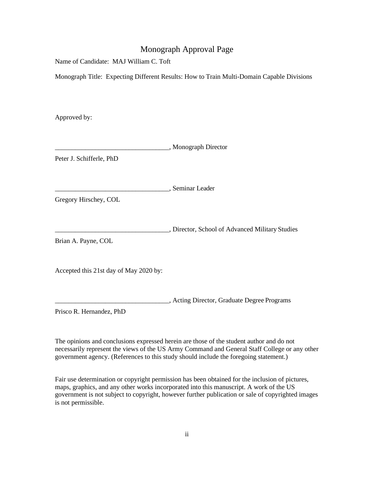# Monograph Approval Page

Name of Candidate: MAJ William C. Toft

Monograph Title: Expecting Different Results: How to Train Multi-Domain Capable Divisions

Approved by:

|                                        | _, Monograph Director                         |
|----------------------------------------|-----------------------------------------------|
| Peter J. Schifferle, PhD               |                                               |
| Gregory Hirschey, COL                  | , Seminar Leader                              |
|                                        |                                               |
|                                        | Director, School of Advanced Military Studies |
| Brian A. Payne, COL                    |                                               |
| Accepted this 21st day of May 2020 by: |                                               |
|                                        | , Acting Director, Graduate Degree Programs   |
| Prisco R. Hernandez, PhD               |                                               |

The opinions and conclusions expressed herein are those of the student author and do not necessarily represent the views of the US Army Command and General Staff College or any other government agency. (References to this study should include the foregoing statement.)

Fair use determination or copyright permission has been obtained for the inclusion of pictures, maps, graphics, and any other works incorporated into this manuscript. A work of the US government is not subject to copyright, however further publication or sale of copyrighted images is not permissible.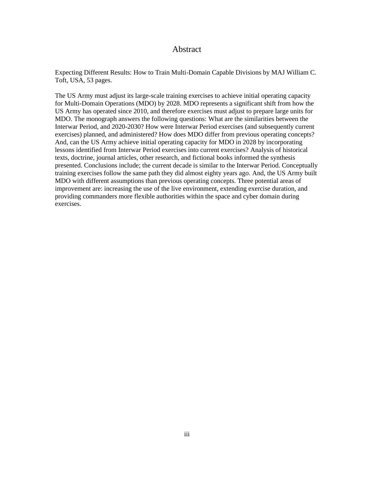#### Abstract

Expecting Different Results: How to Train Multi-Domain Capable Divisions by MAJ William C. Toft, USA, 53 pages.

The US Army must adjust its large-scale training exercises to achieve initial operating capacity for Multi-Domain Operations (MDO) by 2028. MDO represents a significant shift from how the US Army has operated since 2010, and therefore exercises must adjust to prepare large units for MDO. The monograph answers the following questions: What are the similarities between the Interwar Period, and 2020-2030? How were Interwar Period exercises (and subsequently current exercises) planned, and administered? How does MDO differ from previous operating concepts? And, can the US Army achieve initial operating capacity for MDO in 2028 by incorporating lessons identified from Interwar Period exercises into current exercises? Analysis of historical texts, doctrine, journal articles, other research, and fictional books informed the synthesis presented. Conclusions include; the current decade is similar to the Interwar Period. Conceptually training exercises follow the same path they did almost eighty years ago. And, the US Army built MDO with different assumptions than previous operating concepts. Three potential areas of improvement are: increasing the use of the live environment, extending exercise duration, and providing commanders more flexible authorities within the space and cyber domain during exercises.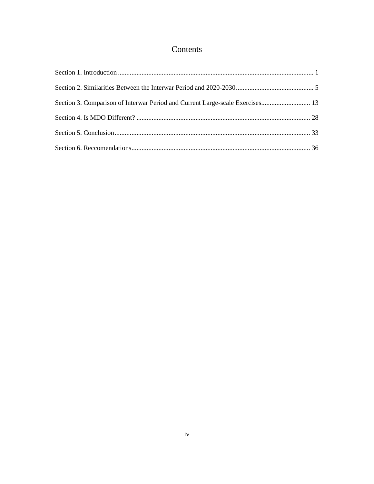# Contents

| Section 3. Comparison of Interwar Period and Current Large-scale Exercises 13 |  |
|-------------------------------------------------------------------------------|--|
|                                                                               |  |
|                                                                               |  |
|                                                                               |  |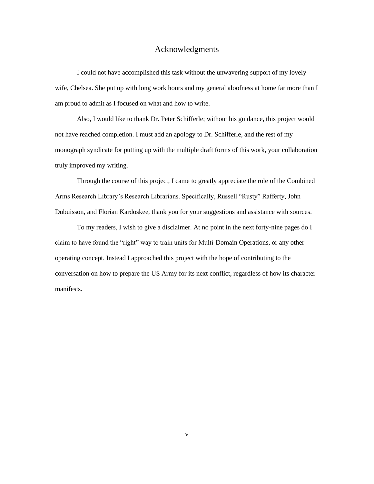#### Acknowledgments

<span id="page-5-0"></span>I could not have accomplished this task without the unwavering support of my lovely wife, Chelsea. She put up with long work hours and my general aloofness at home far more than I am proud to admit as I focused on what and how to write.

Also, I would like to thank Dr. Peter Schifferle; without his guidance, this project would not have reached completion. I must add an apology to Dr. Schifferle, and the rest of my monograph syndicate for putting up with the multiple draft forms of this work, your collaboration truly improved my writing.

Through the course of this project, I came to greatly appreciate the role of the Combined Arms Research Library's Research Librarians. Specifically, Russell "Rusty" Rafferty, John Dubuisson, and Florian Kardoskee, thank you for your suggestions and assistance with sources.

To my readers, I wish to give a disclaimer. At no point in the next forty-nine pages do I claim to have found the "right" way to train units for Multi-Domain Operations, or any other operating concept. Instead I approached this project with the hope of contributing to the conversation on how to prepare the US Army for its next conflict, regardless of how its character manifests.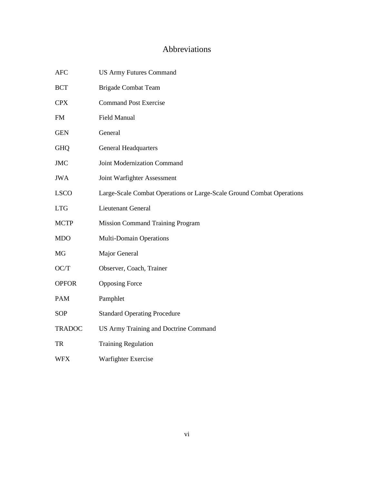# Abbreviations

| <b>AFC</b>    | <b>US Army Futures Command</b>                                        |
|---------------|-----------------------------------------------------------------------|
| <b>BCT</b>    | <b>Brigade Combat Team</b>                                            |
| <b>CPX</b>    | <b>Command Post Exercise</b>                                          |
| <b>FM</b>     | <b>Field Manual</b>                                                   |
| <b>GEN</b>    | General                                                               |
| <b>GHQ</b>    | <b>General Headquarters</b>                                           |
| <b>JMC</b>    | Joint Modernization Command                                           |
| <b>JWA</b>    | Joint Warfighter Assessment                                           |
| <b>LSCO</b>   | Large-Scale Combat Operations or Large-Scale Ground Combat Operations |
| <b>LTG</b>    | <b>Lieutenant General</b>                                             |
| <b>MCTP</b>   | <b>Mission Command Training Program</b>                               |
| <b>MDO</b>    | Multi-Domain Operations                                               |
| MG            | Major General                                                         |
| $O C/T$       | Observer, Coach, Trainer                                              |
| <b>OPFOR</b>  | <b>Opposing Force</b>                                                 |
| <b>PAM</b>    | Pamphlet                                                              |
| <b>SOP</b>    | <b>Standard Operating Procedure</b>                                   |
| <b>TRADOC</b> | US Army Training and Doctrine Command                                 |
| TR            | <b>Training Regulation</b>                                            |
| <b>WFX</b>    | Warfighter Exercise                                                   |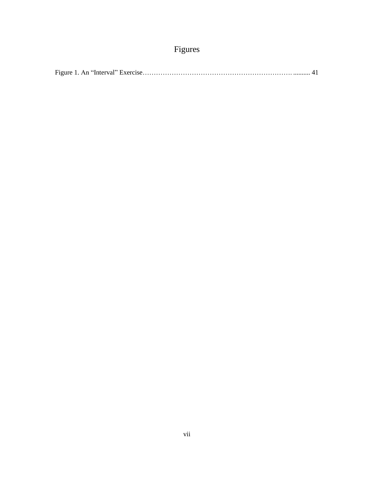# Figures

|--|--|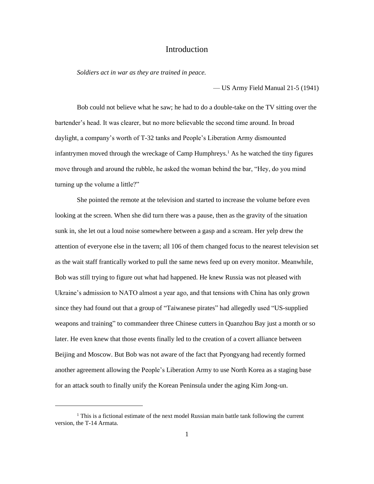## Introduction

<span id="page-8-0"></span>*Soldiers act in war as they are trained in peace.*

— US Army Field Manual 21-5 (1941)

Bob could not believe what he saw; he had to do a double-take on the TV sitting over the bartender's head. It was clearer, but no more believable the second time around. In broad daylight, a company's worth of T-32 tanks and People's Liberation Army dismounted infantrymen moved through the wreckage of Camp Humphreys.<sup>1</sup> As he watched the tiny figures move through and around the rubble, he asked the woman behind the bar, "Hey, do you mind turning up the volume a little?"

She pointed the remote at the television and started to increase the volume before even looking at the screen. When she did turn there was a pause, then as the gravity of the situation sunk in, she let out a loud noise somewhere between a gasp and a scream. Her yelp drew the attention of everyone else in the tavern; all 106 of them changed focus to the nearest television set as the wait staff frantically worked to pull the same news feed up on every monitor. Meanwhile, Bob was still trying to figure out what had happened. He knew Russia was not pleased with Ukraine's admission to NATO almost a year ago, and that tensions with China has only grown since they had found out that a group of "Taiwanese pirates" had allegedly used "US-supplied weapons and training" to commandeer three Chinese cutters in Quanzhou Bay just a month or so later. He even knew that those events finally led to the creation of a covert alliance between Beijing and Moscow. But Bob was not aware of the fact that Pyongyang had recently formed another agreement allowing the People's Liberation Army to use North Korea as a staging base for an attack south to finally unify the Korean Peninsula under the aging Kim Jong-un.

 $1$ <sup>1</sup> This is a fictional estimate of the next model Russian main battle tank following the current version, the T-14 Armata.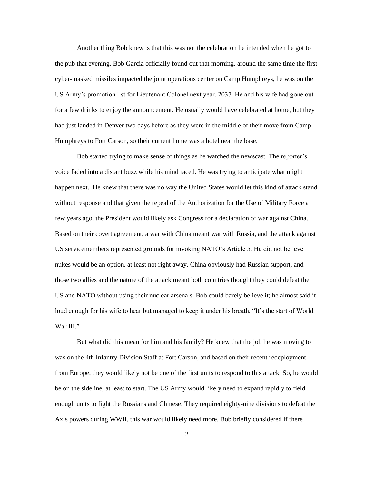Another thing Bob knew is that this was not the celebration he intended when he got to the pub that evening. Bob Garcia officially found out that morning, around the same time the first cyber-masked missiles impacted the joint operations center on Camp Humphreys, he was on the US Army's promotion list for Lieutenant Colonel next year, 2037. He and his wife had gone out for a few drinks to enjoy the announcement. He usually would have celebrated at home, but they had just landed in Denver two days before as they were in the middle of their move from Camp Humphreys to Fort Carson, so their current home was a hotel near the base.

Bob started trying to make sense of things as he watched the newscast. The reporter's voice faded into a distant buzz while his mind raced. He was trying to anticipate what might happen next. He knew that there was no way the United States would let this kind of attack stand without response and that given the repeal of the Authorization for the Use of Military Force a few years ago, the President would likely ask Congress for a declaration of war against China. Based on their covert agreement, a war with China meant war with Russia, and the attack against US servicemembers represented grounds for invoking NATO's Article 5. He did not believe nukes would be an option, at least not right away. China obviously had Russian support, and those two allies and the nature of the attack meant both countries thought they could defeat the US and NATO without using their nuclear arsenals. Bob could barely believe it; he almost said it loud enough for his wife to hear but managed to keep it under his breath, "It's the start of World War III."

But what did this mean for him and his family? He knew that the job he was moving to was on the 4th Infantry Division Staff at Fort Carson, and based on their recent redeployment from Europe, they would likely not be one of the first units to respond to this attack. So, he would be on the sideline, at least to start. The US Army would likely need to expand rapidly to field enough units to fight the Russians and Chinese. They required eighty-nine divisions to defeat the Axis powers during WWII, this war would likely need more. Bob briefly considered if there

2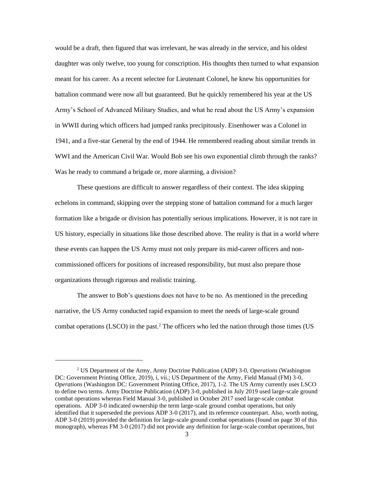would be a draft, then figured that was irrelevant, he was already in the service, and his oldest daughter was only twelve, too young for conscription. His thoughts then turned to what expansion meant for his career. As a recent selectee for Lieutenant Colonel, he knew his opportunities for battalion command were now all but guaranteed. But he quickly remembered his year at the US Army's School of Advanced Military Studies, and what he read about the US Army's expansion in WWII during which officers had jumped ranks precipitously. Eisenhower was a Colonel in 1941, and a five-star General by the end of 1944. He remembered reading about similar trends in WWI and the American Civil War. Would Bob see his own exponential climb through the ranks? Was he ready to command a brigade or, more alarming, a division?

These questions are difficult to answer regardless of their context. The idea skipping echelons in command, skipping over the stepping stone of battalion command for a much larger formation like a brigade or division has potentially serious implications. However, it is not rare in US history, especially in situations like those described above. The reality is that in a world where these events can happen the US Army must not only prepare its mid-career officers and noncommissioned officers for positions of increased responsibility, but must also prepare those organizations through rigorous and realistic training.

The answer to Bob's questions does not have to be no. As mentioned in the preceding narrative, the US Army conducted rapid expansion to meet the needs of large-scale ground combat operations (LSCO) in the past.<sup>2</sup> The officers who led the nation through those times (US

<sup>2</sup> US Department of the Army, Army Doctrine Publication (ADP) 3-0, *Operations* (Washington DC: Government Printing Office, 2019), i, vii.; US Department of the Army, Field Manual (FM) 3-0, *Operations* (Washington DC: Government Printing Office, 2017), 1-2. The US Army currently uses LSCO to define two terms. Army Doctrine Publication (ADP) 3-0, published in July 2019 used large-scale ground combat operations whereas Field Manual 3-0, published in October 2017 used large-scale combat operations. ADP 3-0 indicated ownership the term large-scale ground combat operations, but only identified that it superseded the previous ADP 3-0 (2017), and its reference counterpart. Also, worth noting, ADP 3-0 (2019) provided the definition for large-scale ground combat operations (found on page 30 of this monograph), whereas FM 3-0 (2017) did not provide any definition for large-scale combat operations, but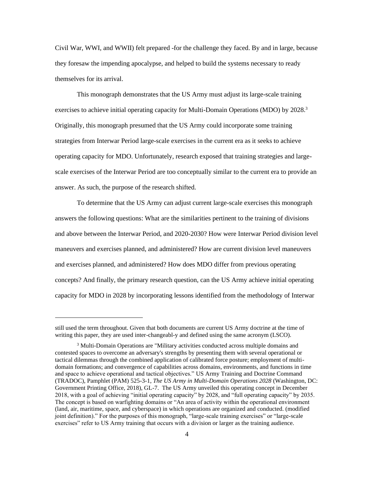Civil War, WWI, and WWII) felt prepared -for the challenge they faced. By and in large, because they foresaw the impending apocalypse, and helped to build the systems necessary to ready themselves for its arrival.

This monograph demonstrates that the US Army must adjust its large-scale training exercises to achieve initial operating capacity for Multi-Domain Operations (MDO) by 2028.<sup>3</sup> Originally, this monograph presumed that the US Army could incorporate some training strategies from Interwar Period large-scale exercises in the current era as it seeks to achieve operating capacity for MDO. Unfortunately, research exposed that training strategies and largescale exercises of the Interwar Period are too conceptually similar to the current era to provide an answer. As such, the purpose of the research shifted.

To determine that the US Army can adjust current large-scale exercises this monograph answers the following questions: What are the similarities pertinent to the training of divisions and above between the Interwar Period, and 2020-2030? How were Interwar Period division level maneuvers and exercises planned, and administered? How are current division level maneuvers and exercises planned, and administered? How does MDO differ from previous operating concepts? And finally, the primary research question, can the US Army achieve initial operating capacity for MDO in 2028 by incorporating lessons identified from the methodology of Interwar

still used the term throughout. Given that both documents are current US Army doctrine at the time of writing this paper, they are used inter-changeabl-y and defined using the same acronym (LSCO).

<sup>&</sup>lt;sup>3</sup> Multi-Domain Operations are "Military activities conducted across multiple domains and contested spaces to overcome an adversary's strengths by presenting them with several operational or tactical dilemmas through the combined application of calibrated force posture; employment of multidomain formations; and convergence of capabilities across domains, environments, and functions in time and space to achieve operational and tactical objectives." US Army Training and Doctrine Command (TRADOC), Pamphlet (PAM) 525-3-1, *The US Army in Multi-Domain Operations 2028* (Washington, DC: Government Printing Office, 2018), GL-7. The US Army unveiled this operating concept in December 2018, with a goal of achieving "initial operating capacity" by 2028, and "full operating capacity" by 2035. The concept is based on warfighting domains or "An area of activity within the operational environment (land, air, maritime, space, and cyberspace) in which operations are organized and conducted. (modified joint definition)." For the purposes of this monograph, "large-scale training exercises" or "large-scale exercises" refer to US Army training that occurs with a division or larger as the training audience.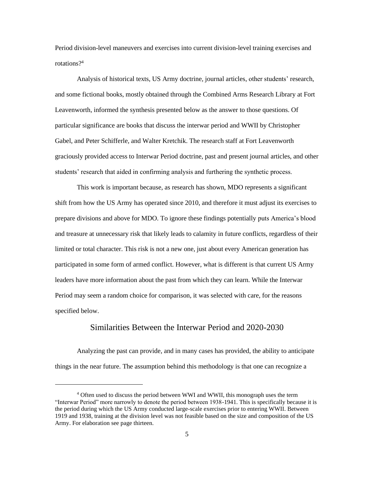Period division-level maneuvers and exercises into current division-level training exercises and rotations? 4

Analysis of historical texts, US Army doctrine, journal articles, other students' research, and some fictional books, mostly obtained through the Combined Arms Research Library at Fort Leavenworth, informed the synthesis presented below as the answer to those questions. Of particular significance are books that discuss the interwar period and WWII by Christopher Gabel, and Peter Schifferle, and Walter Kretchik. The research staff at Fort Leavenworth graciously provided access to Interwar Period doctrine, past and present journal articles, and other students' research that aided in confirming analysis and furthering the synthetic process.

This work is important because, as research has shown, MDO represents a significant shift from how the US Army has operated since 2010, and therefore it must adjust its exercises to prepare divisions and above for MDO. To ignore these findings potentially puts America's blood and treasure at unnecessary risk that likely leads to calamity in future conflicts, regardless of their limited or total character. This risk is not a new one, just about every American generation has participated in some form of armed conflict. However, what is different is that current US Army leaders have more information about the past from which they can learn. While the Interwar Period may seem a random choice for comparison, it was selected with care, for the reasons specified below.

#### Similarities Between the Interwar Period and 2020-2030

<span id="page-12-0"></span>Analyzing the past can provide, and in many cases has provided, the ability to anticipate things in the near future. The assumption behind this methodology is that one can recognize a

<sup>4</sup> Often used to discuss the period between WWI and WWII, this monograph uses the term "Interwar Period" more narrowly to denote the period between 1938-1941. This is specifically because it is the period during which the US Army conducted large-scale exercises prior to entering WWII. Between 1919 and 1938, training at the division level was not feasible based on the size and composition of the US Army. For elaboration see page thirteen.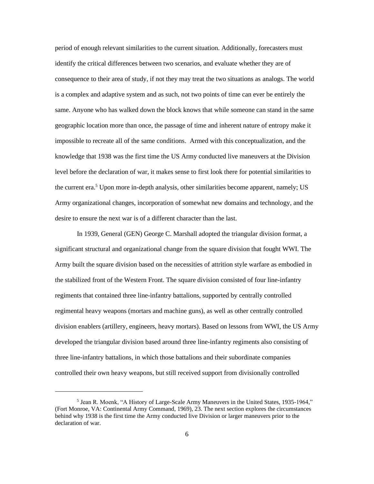period of enough relevant similarities to the current situation. Additionally, forecasters must identify the critical differences between two scenarios, and evaluate whether they are of consequence to their area of study, if not they may treat the two situations as analogs. The world is a complex and adaptive system and as such, not two points of time can ever be entirely the same. Anyone who has walked down the block knows that while someone can stand in the same geographic location more than once, the passage of time and inherent nature of entropy make it impossible to recreate all of the same conditions. Armed with this conceptualization, and the knowledge that 1938 was the first time the US Army conducted live maneuvers at the Division level before the declaration of war, it makes sense to first look there for potential similarities to the current era.<sup>5</sup> Upon more in-depth analysis, other similarities become apparent, namely; US Army organizational changes, incorporation of somewhat new domains and technology, and the desire to ensure the next war is of a different character than the last.

In 1939, General (GEN) George C. Marshall adopted the triangular division format, a significant structural and organizational change from the square division that fought WWI. The Army built the square division based on the necessities of attrition style warfare as embodied in the stabilized front of the Western Front. The square division consisted of four line-infantry regiments that contained three line-infantry battalions, supported by centrally controlled regimental heavy weapons (mortars and machine guns), as well as other centrally controlled division enablers (artillery, engineers, heavy mortars). Based on lessons from WWI, the US Army developed the triangular division based around three line-infantry regiments also consisting of three line-infantry battalions, in which those battalions and their subordinate companies controlled their own heavy weapons, but still received support from divisionally controlled

<sup>&</sup>lt;sup>5</sup> Jean R. Moenk, "A History of Large-Scale Army Maneuvers in the United States, 1935-1964," (Fort Monroe, VA: Continental Army Command, 1969), 23. The next section explores the circumstances behind why 1938 is the first time the Army conducted live Division or larger maneuvers prior to the declaration of war.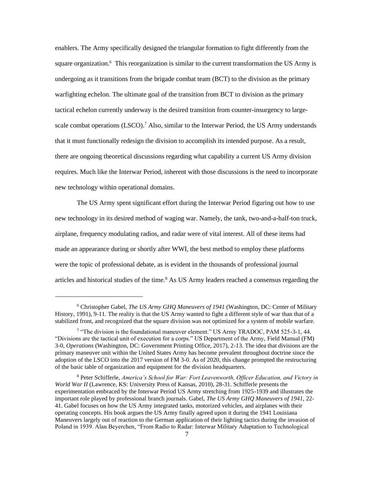enablers. The Army specifically designed the triangular formation to fight differently from the square organization.<sup>6</sup> This reorganization is similar to the current transformation the US Army is undergoing as it transitions from the brigade combat team (BCT) to the division as the primary warfighting echelon. The ultimate goal of the transition from BCT to division as the primary tactical echelon currently underway is the desired transition from counter-insurgency to largescale combat operations (LSCO).<sup>7</sup> Also, similar to the Interwar Period, the US Army understands that it must functionally redesign the division to accomplish its intended purpose. As a result, there are ongoing theoretical discussions regarding what capability a current US Army division requires. Much like the Interwar Period, inherent with those discussions is the need to incorporate new technology within operational domains.

The US Army spent significant effort during the Interwar Period figuring out how to use new technology in its desired method of waging war. Namely, the tank, two-and-a-half-ton truck, airplane, frequency modulating radios, and radar were of vital interest. All of these items had made an appearance during or shortly after WWI, the best method to employ these platforms were the topic of professional debate, as is evident in the thousands of professional journal articles and historical studies of the time.<sup>8</sup> As US Army leaders reached a consensus regarding the

<sup>6</sup> Christopher Gabel, *The US Army GHQ Maneuvers of 1941* (Washington, DC: Center of Military History, 1991), 9-11. The reality is that the US Army wanted to fight a different style of war than that of a stabilized front, and recognized that the square division was not optimized for a system of mobile warfare.

<sup>&</sup>lt;sup>7</sup> "The division is the foundational maneuver element." US Army TRADOC, PAM 525-3-1, 44. "Divisions are the tactical unit of execution for a corps." US Department of the Army, Field Manual (FM) 3-0, *Operations* (Washington, DC: Government Printing Office, 2017), 2-13. The idea that divisions are the primary maneuver unit within the United States Army has become prevalent throughout doctrine since the adoption of the LSCO into the 2017 version of FM 3-0. As of 2020, this change prompted the restructuring of the basic table of organization and equipment for the division headquarters.

<sup>8</sup> Peter Schifferle, *America's School for War: Fort Leavenworth, Officer Education, and Victory in World War II* (Lawrence, KS: University Press of Kansas, 2010), 28-31. Schifferle presents the experimentation embraced by the Interwar Period US Army stretching from 1925-1939 and illustrates the important role played by professional branch journals. Gabel, *The US Army GHQ Maneuvers of 1941,* 22- 41. Gabel focuses on how the US Army integrated tanks, motorized vehicles, and airplanes with their operating concepts. His book argues the US Army finally agreed upon it during the 1941 Louisiana Maneuvers largely out of reaction to the German application of their lighting tactics during the invasion of Poland in 1939. Alan Beyerchen, "From Radio to Radar: Interwar Military Adaptation to Technological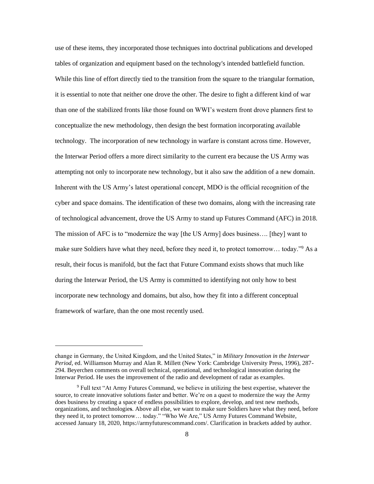use of these items, they incorporated those techniques into doctrinal publications and developed tables of organization and equipment based on the technology's intended battlefield function. While this line of effort directly tied to the transition from the square to the triangular formation, it is essential to note that neither one drove the other. The desire to fight a different kind of war than one of the stabilized fronts like those found on WWI's western front drove planners first to conceptualize the new methodology, then design the best formation incorporating available technology. The incorporation of new technology in warfare is constant across time. However, the Interwar Period offers a more direct similarity to the current era because the US Army was attempting not only to incorporate new technology, but it also saw the addition of a new domain. Inherent with the US Army's latest operational concept, MDO is the official recognition of the cyber and space domains. The identification of these two domains, along with the increasing rate of technological advancement, drove the US Army to stand up Futures Command (AFC) in 2018. The mission of AFC is to "modernize the way [the US Army] does business…. [they] want to make sure Soldiers have what they need, before they need it, to protect tomorrow… today."<sup>9</sup> As a result, their focus is manifold, but the fact that Future Command exists shows that much like during the Interwar Period, the US Army is committed to identifying not only how to best incorporate new technology and domains, but also, how they fit into a different conceptual framework of warfare, than the one most recently used.

change in Germany, the United Kingdom, and the United States," in *Military Innovation in the Interwar Period*, ed. Williamson Murray and Alan R. Millett (New York: Cambridge University Press, 1996), 287- 294. Beyerchen comments on overall technical, operational, and technological innovation during the Interwar Period. He uses the improvement of the radio and development of radar as examples.

<sup>9</sup> Full text "At Army Futures Command, we believe in utilizing the best expertise, whatever the source, to create innovative solutions faster and better. We're on a quest to modernize the way the Army does business by creating a space of endless possibilities to explore, develop, and test new methods, organizations, and technologie**s**. Above all else, we want to make sure Soldiers have what they need, before they need it, to protect tomorrow… today." "Who We Are," US Army Futures Command Website, accessed January 18, 2020, [https://armyfuturescommand.com/.](https://armyfuturescommand.com/) Clarification in brackets added by author.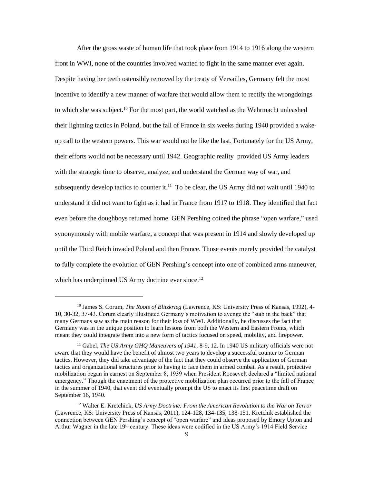After the gross waste of human life that took place from 1914 to 1916 along the western front in WWI, none of the countries involved wanted to fight in the same manner ever again. Despite having her teeth ostensibly removed by the treaty of Versailles, Germany felt the most incentive to identify a new manner of warfare that would allow them to rectify the wrongdoings to which she was subject.<sup>10</sup> For the most part, the world watched as the Wehrmacht unleashed their lightning tactics in Poland, but the fall of France in six weeks during 1940 provided a wakeup call to the western powers. This war would not be like the last. Fortunately for the US Army, their efforts would not be necessary until 1942. Geographic reality provided US Army leaders with the strategic time to observe, analyze, and understand the German way of war, and subsequently develop tactics to counter it. $\frac{11}{10}$  To be clear, the US Army did not wait until 1940 to understand it did not want to fight as it had in France from 1917 to 1918. They identified that fact even before the doughboys returned home. GEN Pershing coined the phrase "open warfare," used synonymously with mobile warfare, a concept that was present in 1914 and slowly developed up until the Third Reich invaded Poland and then France. Those events merely provided the catalyst to fully complete the evolution of GEN Pershing's concept into one of combined arms maneuver, which has underpinned US Army doctrine ever since.<sup>12</sup>

<sup>10</sup> James S. Corum, *The Roots of Blitzkrieg* (Lawrence, KS: University Press of Kansas, 1992), 4- 10, 30-32, 37-43. Corum clearly illustrated Germany's motivation to avenge the "stab in the back" that many Germans saw as the main reason for their loss of WWI. Additionally, he discusses the fact that Germany was in the unique position to learn lessons from both the Western and Eastern Fronts, which meant they could integrate them into a new form of tactics focused on speed, mobility, and firepower.

<sup>&</sup>lt;sup>11</sup> Gabel, *The US Army GHQ Maneuvers of 1941*, 8-9, 12. In 1940 US military officials were not aware that they would have the benefit of almost two years to develop a successful counter to German tactics. However, they did take advantage of the fact that they could observe the application of German tactics and organizational structures prior to having to face them in armed combat. As a result, protective mobilization began in earnest on September 8, 1939 when President Roosevelt declared a "limited national emergency." Though the enactment of the protective mobilization plan occurred prior to the fall of France in the summer of 1940, that event did eventually prompt the US to enact its first peacetime draft on September 16, 1940.

<sup>12</sup> Walter E. Kretchick, *US Army Doctrine: From the American Revolution to the War on Terror*  (Lawrence, KS: University Press of Kansas, 2011), 124-128, 134-135, 138-151. Kretchik established the connection between GEN Pershing's concept of "open warfare" and ideas proposed by Emory Upton and Arthur Wagner in the late 19<sup>th</sup> century. These ideas were codified in the US Army's 1914 Field Service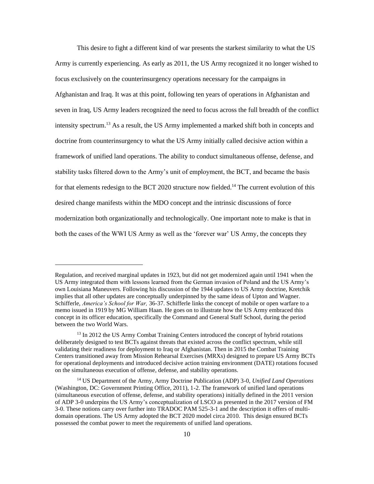This desire to fight a different kind of war presents the starkest similarity to what the US Army is currently experiencing. As early as 2011, the US Army recognized it no longer wished to focus exclusively on the counterinsurgency operations necessary for the campaigns in Afghanistan and Iraq. It was at this point, following ten years of operations in Afghanistan and seven in Iraq, US Army leaders recognized the need to focus across the full breadth of the conflict intensity spectrum.<sup>13</sup> As a result, the US Army implemented a marked shift both in concepts and doctrine from counterinsurgency to what the US Army initially called decisive action within a framework of unified land operations. The ability to conduct simultaneous offense, defense, and stability tasks filtered down to the Army's unit of employment, the BCT, and became the basis for that elements redesign to the BCT 2020 structure now fielded.<sup>14</sup> The current evolution of this desired change manifests within the MDO concept and the intrinsic discussions of force modernization both organizationally and technologically. One important note to make is that in both the cases of the WWI US Army as well as the 'forever war' US Army, the concepts they

Regulation, and received marginal updates in 1923, but did not get modernized again until 1941 when the US Army integrated them with lessons learned from the German invasion of Poland and the US Army's own Louisiana Maneuvers. Following his discussion of the 1944 updates to US Army doctrine, Kretchik implies that all other updates are conceptually underpinned by the same ideas of Upton and Wagner. Schifferle, *America's School for War*, 36-37. Schifferle links the concept of mobile or open warfare to a memo issued in 1919 by MG William Haan. He goes on to illustrate how the US Army embraced this concept in its officer education, specifically the Command and General Staff School, during the period between the two World Wars.

<sup>&</sup>lt;sup>13</sup> In 2012 the US Army Combat Training Centers introduced the concept of hybrid rotations deliberately designed to test BCTs against threats that existed across the conflict spectrum, while still validating their readiness for deployment to Iraq or Afghanistan. Then in 2015 the Combat Training Centers transitioned away from Mission Rehearsal Exercises (MRXs) designed to prepare US Army BCTs for operational deployments and introduced decisive action training environment (DATE) rotations focused on the simultaneous execution of offense, defense, and stability operations.

<sup>14</sup> US Department of the Army, Army Doctrine Publication (ADP) 3-0, *Unified Land Operations*  (Washington, DC: Government Printing Office, 2011), 1-2. The framework of unified land operations (simultaneous execution of offense, defense, and stability operations) initially defined in the 2011 version of ADP 3-0 underpins the US Army's conceptualization of LSCO as presented in the 2017 version of FM 3-0. These notions carry over further into TRADOC PAM 525-3-1 and the description it offers of multidomain operations. The US Army adopted the BCT 2020 model circa 2010. This design ensured BCTs possessed the combat power to meet the requirements of unified land operations.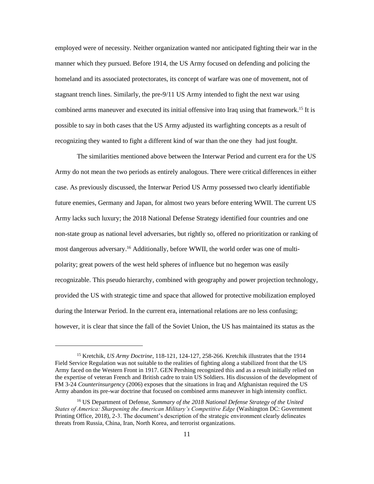employed were of necessity. Neither organization wanted nor anticipated fighting their war in the manner which they pursued. Before 1914, the US Army focused on defending and policing the homeland and its associated protectorates, its concept of warfare was one of movement, not of stagnant trench lines. Similarly, the pre-9/11 US Army intended to fight the next war using combined arms maneuver and executed its initial offensive into Iraq using that framework. <sup>15</sup> It is possible to say in both cases that the US Army adjusted its warfighting concepts as a result of recognizing they wanted to fight a different kind of war than the one they had just fought.

The similarities mentioned above between the Interwar Period and current era for the US Army do not mean the two periods as entirely analogous. There were critical differences in either case. As previously discussed, the Interwar Period US Army possessed two clearly identifiable future enemies, Germany and Japan, for almost two years before entering WWII. The current US Army lacks such luxury; the 2018 National Defense Strategy identified four countries and one non-state group as national level adversaries, but rightly so, offered no prioritization or ranking of most dangerous adversary. <sup>16</sup> Additionally, before WWII, the world order was one of multipolarity; great powers of the west held spheres of influence but no hegemon was easily recognizable. This pseudo hierarchy, combined with geography and power projection technology, provided the US with strategic time and space that allowed for protective mobilization employed during the Interwar Period. In the current era, international relations are no less confusing; however, it is clear that since the fall of the Soviet Union, the US has maintained its status as the

<sup>15</sup> Kretchik, *US Army Doctrine*, 118-121, 124-127, 258-266. Kretchik illustrates that the 1914 Field Service Regulation was not suitable to the realities of fighting along a stabilized front that the US Army faced on the Western Front in 1917. GEN Pershing recognized this and as a result initially relied on the expertise of veteran French and British cadre to train US Soldiers. His discussion of the development of FM 3-24 *Counterinsurgency* (2006) exposes that the situations in Iraq and Afghanistan required the US Army abandon its pre-war doctrine that focused on combined arms maneuver in high intensity conflict.

<sup>16</sup> US Department of Defense, *Summary of the 2018 National Defense Strategy of the United States of America: Sharpening the American Military's Competitive Edge* (Washington DC: Government Printing Office, 2018), 2-3. The document's description of the strategic environment clearly delineates threats from Russia, China, Iran, North Korea, and terrorist organizations.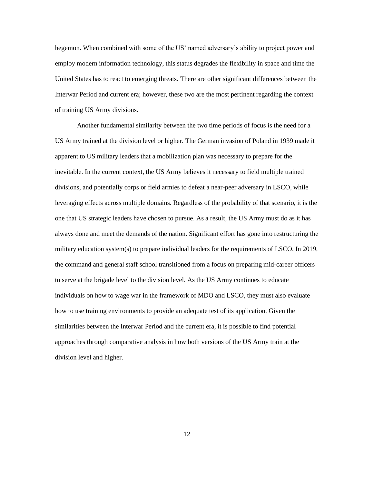hegemon. When combined with some of the US' named adversary's ability to project power and employ modern information technology, this status degrades the flexibility in space and time the United States has to react to emerging threats. There are other significant differences between the Interwar Period and current era; however, these two are the most pertinent regarding the context of training US Army divisions.

Another fundamental similarity between the two time periods of focus is the need for a US Army trained at the division level or higher. The German invasion of Poland in 1939 made it apparent to US military leaders that a mobilization plan was necessary to prepare for the inevitable. In the current context, the US Army believes it necessary to field multiple trained divisions, and potentially corps or field armies to defeat a near-peer adversary in LSCO, while leveraging effects across multiple domains. Regardless of the probability of that scenario, it is the one that US strategic leaders have chosen to pursue. As a result, the US Army must do as it has always done and meet the demands of the nation. Significant effort has gone into restructuring the military education system(s) to prepare individual leaders for the requirements of LSCO. In 2019, the command and general staff school transitioned from a focus on preparing mid-career officers to serve at the brigade level to the division level. As the US Army continues to educate individuals on how to wage war in the framework of MDO and LSCO, they must also evaluate how to use training environments to provide an adequate test of its application. Given the similarities between the Interwar Period and the current era, it is possible to find potential approaches through comparative analysis in how both versions of the US Army train at the division level and higher.

12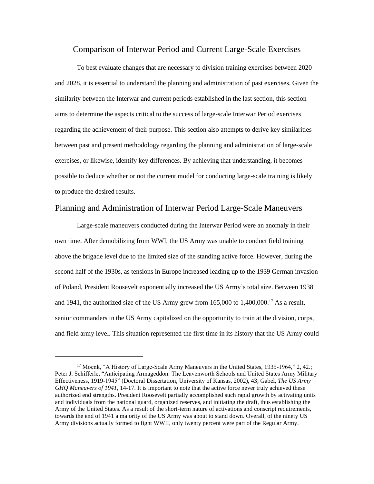#### <span id="page-20-0"></span>Comparison of Interwar Period and Current Large-Scale Exercises

To best evaluate changes that are necessary to division training exercises between 2020 and 2028, it is essential to understand the planning and administration of past exercises. Given the similarity between the Interwar and current periods established in the last section, this section aims to determine the aspects critical to the success of large-scale Interwar Period exercises regarding the achievement of their purpose. This section also attempts to derive key similarities between past and present methodology regarding the planning and administration of large-scale exercises, or likewise, identify key differences. By achieving that understanding, it becomes possible to deduce whether or not the current model for conducting large-scale training is likely to produce the desired results.

#### Planning and Administration of Interwar Period Large-Scale Maneuvers

Large-scale maneuvers conducted during the Interwar Period were an anomaly in their own time. After demobilizing from WWI, the US Army was unable to conduct field training above the brigade level due to the limited size of the standing active force. However, during the second half of the 1930s, as tensions in Europe increased leading up to the 1939 German invasion of Poland, President Roosevelt exponentially increased the US Army's total size. Between 1938 and 1941, the authorized size of the US Army grew from 165,000 to 1,400,000.<sup>17</sup> As a result, senior commanders in the US Army capitalized on the opportunity to train at the division, corps, and field army level. This situation represented the first time in its history that the US Army could

<sup>&</sup>lt;sup>17</sup> Moenk, "A History of Large-Scale Army Maneuvers in the United States, 1935-1964," 2, 42.; Peter J. Schifferle, "Anticipating Armageddon: The Leavenworth Schools and United States Army Military Effectiveness, 1919-1945" (Doctoral Dissertation, University of Kansas, 2002), 43; Gabel, *The US Army GHQ Maneuvers of 1941,* 14-17. It is important to note that the active force never truly achieved these authorized end strengths. President Roosevelt partially accomplished such rapid growth by activating units and individuals from the national guard, organized reserves, and initiating the draft, thus establishing the Army of the United States. As a result of the short-term nature of activations and conscript requirements, towards the end of 1941 a majority of the US Army was about to stand down. Overall, of the ninety US Army divisions actually formed to fight WWII, only twenty percent were part of the Regular Army.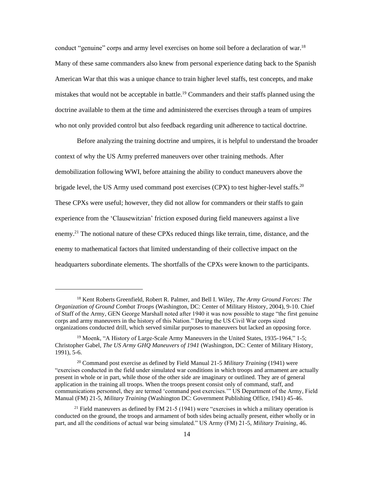conduct "genuine" corps and army level exercises on home soil before a declaration of war.<sup>18</sup> Many of these same commanders also knew from personal experience dating back to the Spanish American War that this was a unique chance to train higher level staffs, test concepts, and make mistakes that would not be acceptable in battle.<sup>19</sup> Commanders and their staffs planned using the doctrine available to them at the time and administered the exercises through a team of umpires who not only provided control but also feedback regarding unit adherence to tactical doctrine.

Before analyzing the training doctrine and umpires, it is helpful to understand the broader context of why the US Army preferred maneuvers over other training methods. After demobilization following WWI, before attaining the ability to conduct maneuvers above the brigade level, the US Army used command post exercises (CPX) to test higher-level staffs.<sup>20</sup> These CPXs were useful; however, they did not allow for commanders or their staffs to gain experience from the 'Clausewitzian' friction exposed during field maneuvers against a live enemy.<sup>21</sup> The notional nature of these CPXs reduced things like terrain, time, distance, and the enemy to mathematical factors that limited understanding of their collective impact on the headquarters subordinate elements. The shortfalls of the CPXs were known to the participants.

<sup>18</sup> Kent Roberts Greenfield, Robert R. Palmer, and Bell I. Wiley, *The Army Ground Forces: The Organization of Ground Combat Troops* (Washington, DC: Center of Military History, 2004), 9-10. Chief of Staff of the Army, GEN George Marshall noted after 1940 it was now possible to stage "the first genuine corps and army maneuvers in the history of this Nation." During the US Civil War corps sized organizations conducted drill, which served similar purposes to maneuvers but lacked an opposing force.

<sup>&</sup>lt;sup>19</sup> Moenk, "A History of Large-Scale Army Maneuvers in the United States, 1935-1964," 1-5; Christopher Gabel, *The US Army GHQ Maneuvers of 1941* (Washington, DC: Center of Military History, 1991), 5-6.

<sup>20</sup> Command post exercise as defined by Field Manual 21-5 *Military Training* (1941) were "exercises conducted in the field under simulated war conditions in which troops and armament are actually present in whole or in part, while those of the other side are imaginary or outlined. They are of general application in the training all troops. When the troops present consist only of command, staff, and communications personnel, they are termed 'command post exercises.'" US Department of the Army, Field Manual (FM) 21-5, *Military Training* (Washington DC: Government Publishing Office, 1941) 45-46.

<sup>&</sup>lt;sup>21</sup> Field maneuvers as defined by FM 21-5 (1941) were "exercises in which a military operation is conducted on the ground, the troops and armament of both sides being actually present, either wholly or in part, and all the conditions of actual war being simulated." US Army (FM) 21-5, *Military Training*, 46.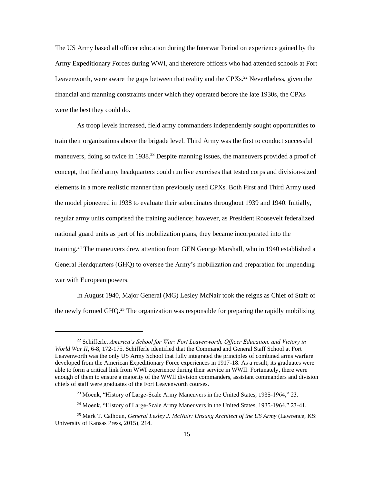The US Army based all officer education during the Interwar Period on experience gained by the Army Expeditionary Forces during WWI, and therefore officers who had attended schools at Fort Leavenworth, were aware the gaps between that reality and the CPXs.<sup>22</sup> Nevertheless, given the financial and manning constraints under which they operated before the late 1930s, the CPXs were the best they could do.

As troop levels increased, field army commanders independently sought opportunities to train their organizations above the brigade level. Third Army was the first to conduct successful maneuvers, doing so twice in 1938<sup>.23</sup> Despite manning issues, the maneuvers provided a proof of concept, that field army headquarters could run live exercises that tested corps and division-sized elements in a more realistic manner than previously used CPXs. Both First and Third Army used the model pioneered in 1938 to evaluate their subordinates throughout 1939 and 1940. Initially, regular army units comprised the training audience; however, as President Roosevelt federalized national guard units as part of his mobilization plans, they became incorporated into the training.<sup>24</sup> The maneuvers drew attention from GEN George Marshall, who in 1940 established a General Headquarters (GHQ) to oversee the Army's mobilization and preparation for impending war with European powers.

In August 1940, Major General (MG) Lesley McNair took the reigns as Chief of Staff of the newly formed GHQ.<sup>25</sup> The organization was responsible for preparing the rapidly mobilizing

<sup>22</sup> Schifferle, *America's School for War: Fort Leavenworth, Officer Education, and Victory in World War II*, 6-8, 172-175. Schifferle identified that the Command and General Staff School at Fort Leavenworth was the only US Army School that fully integrated the principles of combined arms warfare developed from the American Expeditionary Force experiences in 1917-18. As a result, its graduates were able to form a critical link from WWI experience during their service in WWII. Fortunately, there were enough of them to ensure a majority of the WWII division commanders, assistant commanders and division chiefs of staff were graduates of the Fort Leavenworth courses.

<sup>&</sup>lt;sup>23</sup> Moenk, "History of Large-Scale Army Maneuvers in the United States, 1935-1964," 23.

<sup>&</sup>lt;sup>24</sup> Moenk, "History of Large-Scale Army Maneuvers in the United States, 1935-1964," 23-41.

<sup>25</sup> Mark T. Calhoun, *General Lesley J. McNair: Unsung Architect of the US Army* (Lawrence, KS: University of Kansas Press, 2015), 214.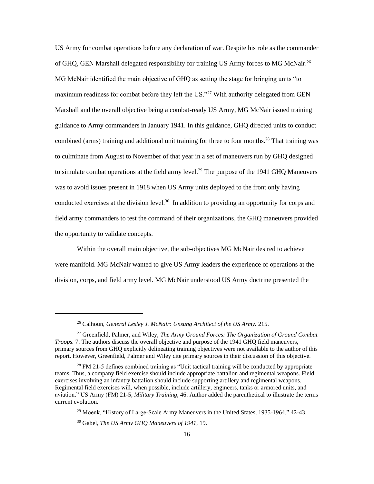US Army for combat operations before any declaration of war. Despite his role as the commander of GHQ, GEN Marshall delegated responsibility for training US Army forces to MG McNair.<sup>26</sup> MG McNair identified the main objective of GHQ as setting the stage for bringing units "to maximum readiness for combat before they left the US."<sup>27</sup> With authority delegated from GEN Marshall and the overall objective being a combat-ready US Army, MG McNair issued training guidance to Army commanders in January 1941. In this guidance, GHQ directed units to conduct combined (arms) training and additional unit training for three to four months.<sup>28</sup> That training was to culminate from August to November of that year in a set of maneuvers run by GHQ designed to simulate combat operations at the field army level.<sup>29</sup> The purpose of the 1941 GHQ Maneuvers was to avoid issues present in 1918 when US Army units deployed to the front only having conducted exercises at the division level.<sup>30</sup> In addition to providing an opportunity for corps and field army commanders to test the command of their organizations, the GHQ maneuvers provided the opportunity to validate concepts.

Within the overall main objective, the sub-objectives MG McNair desired to achieve were manifold. MG McNair wanted to give US Army leaders the experience of operations at the division, corps, and field army level. MG McNair understood US Army doctrine presented the

<sup>26</sup> Calhoun, *General Lesley J. McNair: Unsung Architect of the US Army.* 215.

<sup>27</sup> Greenfield, Palmer, and Wiley, *The Army Ground Forces: The Organization of Ground Combat Troops.* 7. The authors discuss the overall objective and purpose of the 1941 GHQ field maneuvers, primary sources from GHQ explicitly delineating training objectives were not available to the author of this report. However, Greenfield, Palmer and Wiley cite primary sources in their discussion of this objective.

 $^{28}$  FM 21-5 defines combined training as "Unit tactical training will be conducted by appropriate teams. Thus, a company field exercise should include appropriate battalion and regimental weapons. Field exercises involving an infantry battalion should include supporting artillery and regimental weapons. Regimental field exercises will, when possible, include artillery, engineers, tanks or armored units, and aviation." US Army (FM) 21-5, *Military Training*, 46. Author added the parenthetical to illustrate the terms current evolution.

<sup>&</sup>lt;sup>29</sup> Moenk, "History of Large-Scale Army Maneuvers in the United States, 1935-1964," 42-43.

<sup>30</sup> Gabel, *The US Army GHQ Maneuvers of 1941,* 19.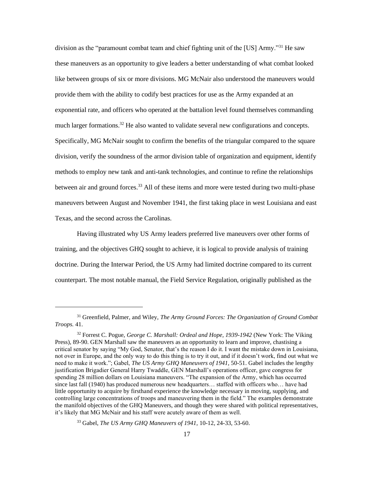division as the "paramount combat team and chief fighting unit of the [US] Army."<sup>31</sup> He saw these maneuvers as an opportunity to give leaders a better understanding of what combat looked like between groups of six or more divisions. MG McNair also understood the maneuvers would provide them with the ability to codify best practices for use as the Army expanded at an exponential rate, and officers who operated at the battalion level found themselves commanding much larger formations.<sup>32</sup> He also wanted to validate several new configurations and concepts. Specifically, MG McNair sought to confirm the benefits of the triangular compared to the square division, verify the soundness of the armor division table of organization and equipment, identify methods to employ new tank and anti-tank technologies, and continue to refine the relationships between air and ground forces.<sup>33</sup> All of these items and more were tested during two multi-phase maneuvers between August and November 1941, the first taking place in west Louisiana and east Texas, and the second across the Carolinas.

Having illustrated why US Army leaders preferred live maneuvers over other forms of training, and the objectives GHQ sought to achieve, it is logical to provide analysis of training doctrine. During the Interwar Period, the US Army had limited doctrine compared to its current counterpart. The most notable manual, the Field Service Regulation, originally published as the

<sup>31</sup> Greenfield, Palmer, and Wiley, *The Army Ground Forces: The Organization of Ground Combat Troops.* 41.

<sup>32</sup> Forrest C. Pogue, *George C. Marshall: Ordeal and Hope, 1939-1942* (New York: The Viking Press), 89-90. GEN Marshall saw the maneuvers as an opportunity to learn and improve, chastising a critical senator by saying "My God, Senator, that's the reason I do it. I want the mistake down in Louisiana, not over in Europe, and the only way to do this thing is to try it out, and if it doesn't work, find out what we need to make it work."; Gabel, *The US Army GHQ Maneuvers of 1941,* 50-51. Gabel includes the lengthy justification Brigadier General Harry Twaddle, GEN Marshall's operations officer, gave congress for spending 28 million dollars on Louisiana maneuvers. "The expansion of the Army, which has occurred since last fall (1940) has produced numerous new headquarters… staffed with officers who… have had little opportunity to acquire by firsthand experience the knowledge necessary in moving, supplying, and controlling large concentrations of troops and maneuvering them in the field." The examples demonstrate the manifold objectives of the GHQ Maneuvers, and though they were shared with political representatives, it's likely that MG McNair and his staff were acutely aware of them as well.

<sup>33</sup> Gabel, *The US Army GHQ Maneuvers of 1941,* 10-12, 24-33, 53-60.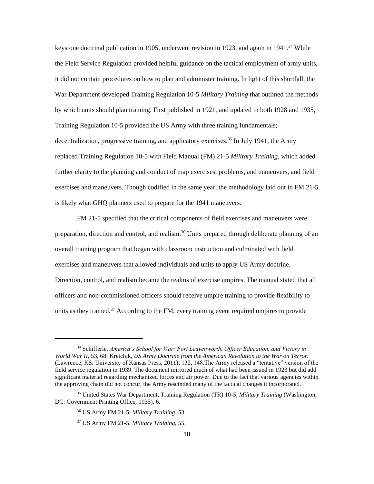keystone doctrinal publication in 1905, underwent revision in 1923, and again in  $1941$ <sup>34</sup> While the Field Service Regulation provided helpful guidance on the tactical employment of army units, it did not contain procedures on how to plan and administer training. In light of this shortfall, the War Department developed Training Regulation 10-5 *Military Training* that outlined the methods by which units should plan training. First published in 1921, and updated in both 1928 and 1935, Training Regulation 10-5 provided the US Army with three training fundamentals; decentralization, progressive training, and applicatory exercises.<sup>35</sup> In July 1941, the Army replaced Training Regulation 10-5 with Field Manual (FM) 21-5 *Military Training*, which added further clarity to the planning and conduct of map exercises, problems, and maneuvers, and field exercises and maneuvers. Though codified in the same year, the methodology laid out in FM 21-5 is likely what GHQ planners used to prepare for the 1941 maneuvers.

FM 21-5 specified that the critical components of field exercises and maneuvers were preparation, direction and control, and realism.<sup>36</sup> Units prepared through deliberate planning of an overall training program that began with classroom instruction and culminated with field exercises and maneuvers that allowed individuals and units to apply US Army doctrine. Direction, control, and realism became the realms of exercise umpires. The manual stated that all officers and non-commissioned officers should receive umpire training to provide flexibility to units as they trained.<sup>37</sup> According to the FM, every training event required umpires to provide

<sup>34</sup> Schifferle, *America's School for War: Fort Leavenworth, Officer Education, and Victory in World War II,* 53, 68; Kretchik, *US Army Doctrine from the American Revolution to the War on Terror.* (Lawrence, KS: University of Kansas Press, 2011), 132, 148.The Army released a "tentative" version of the field service regulation in 1939. The document mirrored much of what had been issued in 1923 but did add significant material regarding mechanized forces and air power. Due to the fact that various agencies within the approving chain did not concur, the Army rescinded many of the tactical changes it incorporated.

<sup>35</sup> United States War Department, Training Regulation (TR) 10-5, *Military Training* (Washington, DC: Government Printing Office, 1935), 6.

<sup>36</sup> US Army FM 21-5*, Military Training*, 53.

<sup>37</sup> US Army FM 21-5, *Military Training,* 55.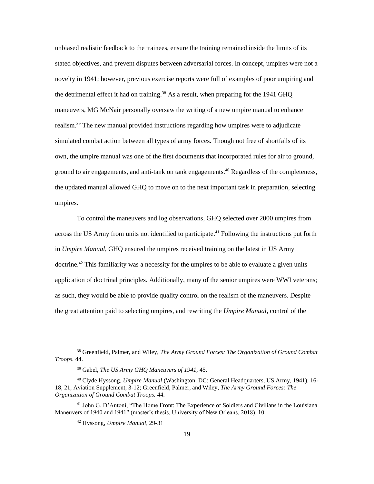unbiased realistic feedback to the trainees, ensure the training remained inside the limits of its stated objectives, and prevent disputes between adversarial forces. In concept, umpires were not a novelty in 1941; however, previous exercise reports were full of examples of poor umpiring and the detrimental effect it had on training.<sup>38</sup> As a result, when preparing for the 1941 GHQ maneuvers, MG McNair personally oversaw the writing of a new umpire manual to enhance realism.<sup>39</sup> The new manual provided instructions regarding how umpires were to adjudicate simulated combat action between all types of army forces. Though not free of shortfalls of its own, the umpire manual was one of the first documents that incorporated rules for air to ground, ground to air engagements, and anti-tank on tank engagements.<sup>40</sup> Regardless of the completeness, the updated manual allowed GHQ to move on to the next important task in preparation, selecting umpires.

To control the maneuvers and log observations, GHQ selected over 2000 umpires from across the US Army from units not identified to participate. <sup>41</sup> Following the instructions put forth in *Umpire Manual*, GHQ ensured the umpires received training on the latest in US Army doctrine.<sup>42</sup> This familiarity was a necessity for the umpires to be able to evaluate a given units application of doctrinal principles. Additionally, many of the senior umpires were WWI veterans; as such, they would be able to provide quality control on the realism of the maneuvers. Despite the great attention paid to selecting umpires, and rewriting the *Umpire Manual*, control of the

<sup>38</sup> Greenfield, Palmer, and Wiley, *The Army Ground Forces: The Organization of Ground Combat Troops.* 44.

<sup>39</sup> Gabel, *The US Army GHQ Maneuvers of 1941,* 45.

<sup>40</sup> Clyde Hyssong, *Umpire Manual* (Washington, DC: General Headquarters, US Army, 1941), 16- 18, 21, Aviation Supplement, 3-12; Greenfield, Palmer, and Wiley, *The Army Ground Forces: The Organization of Ground Combat Troops.* 44.

<sup>41</sup> John G. D'Antoni, "The Home Front: The Experience of Soldiers and Civilians in the Louisiana Maneuvers of 1940 and 1941" (master's thesis, University of New Orleans, 2018), 10.

<sup>42</sup> Hyssong, *Umpire Manual*, 29-31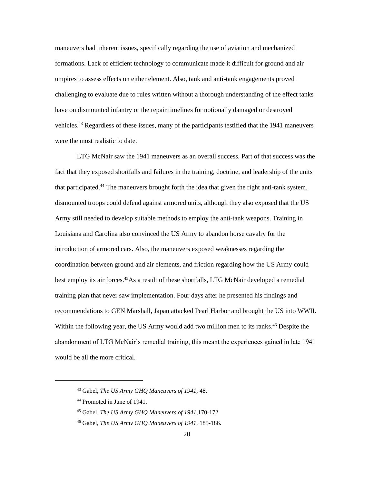maneuvers had inherent issues, specifically regarding the use of aviation and mechanized formations. Lack of efficient technology to communicate made it difficult for ground and air umpires to assess effects on either element. Also, tank and anti-tank engagements proved challenging to evaluate due to rules written without a thorough understanding of the effect tanks have on dismounted infantry or the repair timelines for notionally damaged or destroyed vehicles.<sup>43</sup> Regardless of these issues, many of the participants testified that the 1941 maneuvers were the most realistic to date.

LTG McNair saw the 1941 maneuvers as an overall success*.* Part of that success was the fact that they exposed shortfalls and failures in the training, doctrine, and leadership of the units that participated.<sup>44</sup> The maneuvers brought forth the idea that given the right anti-tank system, dismounted troops could defend against armored units, although they also exposed that the US Army still needed to develop suitable methods to employ the anti-tank weapons. Training in Louisiana and Carolina also convinced the US Army to abandon horse cavalry for the introduction of armored cars. Also, the maneuvers exposed weaknesses regarding the coordination between ground and air elements, and friction regarding how the US Army could best employ its air forces.<sup>45</sup>As a result of these shortfalls, LTG McNair developed a remedial training plan that never saw implementation. Four days after he presented his findings and recommendations to GEN Marshall, Japan attacked Pearl Harbor and brought the US into WWII. Within the following year, the US Army would add two million men to its ranks.<sup>46</sup> Despite the abandonment of LTG McNair's remedial training, this meant the experiences gained in late 1941 would be all the more critical.

<sup>43</sup> Gabel, *The US Army GHQ Maneuvers of 1941,* 48.

<sup>44</sup> Promoted in June of 1941.

<sup>45</sup> Gabel, *The US Army GHQ Maneuvers of 1941,*170-172

<sup>46</sup> Gabel, *The US Army GHQ Maneuvers of 1941,* 185-186.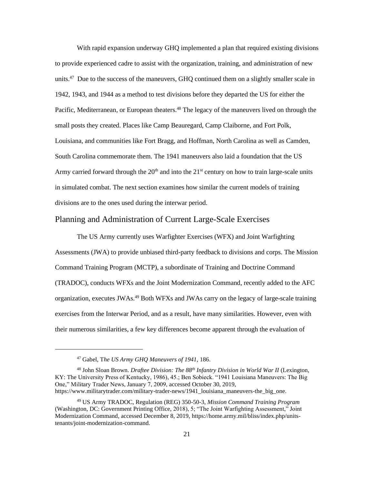With rapid expansion underway GHQ implemented a plan that required existing divisions to provide experienced cadre to assist with the organization, training, and administration of new units.<sup>47</sup> Due to the success of the maneuvers, GHQ continued them on a slightly smaller scale in 1942, 1943, and 1944 as a method to test divisions before they departed the US for either the Pacific, Mediterranean, or European theaters.<sup>48</sup> The legacy of the maneuvers lived on through the small posts they created. Places like Camp Beauregard, Camp Claiborne, and Fort Polk, Louisiana, and communities like Fort Bragg, and Hoffman, North Carolina as well as Camden, South Carolina commemorate them. The 1941 maneuvers also laid a foundation that the US Army carried forward through the  $20<sup>th</sup>$  and into the  $21<sup>st</sup>$  century on how to train large-scale units in simulated combat. The next section examines how similar the current models of training divisions are to the ones used during the interwar period.

#### Planning and Administration of Current Large-Scale Exercises

The US Army currently uses Warfighter Exercises (WFX) and Joint Warfighting Assessments (JWA) to provide unbiased third-party feedback to divisions and corps. The Mission Command Training Program (MCTP), a subordinate of Training and Doctrine Command (TRADOC), conducts WFXs and the Joint Modernization Command, recently added to the AFC organization, executes JWAs.<sup>49</sup> Both WFXs and JWAs carry on the legacy of large-scale training exercises from the Interwar Period, and as a result, have many similarities. However, even with their numerous similarities, a few key differences become apparent through the evaluation of

<sup>47</sup> Gabel, T*he US Army GHQ Maneuvers of 1941,* 186.

<sup>48</sup> John Sloan Brown. *Draftee Division: The 88th Infantry Division in World War II* (Lexington, KY: The University Press of Kentucky, 1986), 45.; Ben Sobieck. "1941 Louisiana Maneuvers: The Big One," Military Trader News, January 7, 2009, accessed October 30, 2019, https://www.militarytrader.com/military-trader-news/1941 louisiana maneuvers-the big\_one.

<sup>49</sup> US Army TRADOC, Regulation (REG) 350-50-3, *Mission Command Training Program*  (Washington, DC: Government Printing Office, 2018), 5; "The Joint Warfighting Assessment," Joint Modernization Command, accessed December 8, 2019, [https://home.army.mil/bliss/index.php/units](https://home.army.mil/bliss/index.php/units-tenants/joint-modernization-command)[tenants/joint-modernization-command.](https://home.army.mil/bliss/index.php/units-tenants/joint-modernization-command)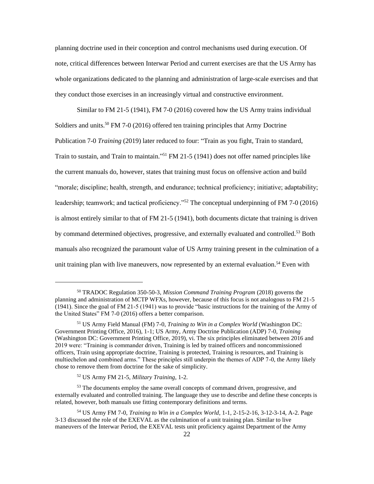planning doctrine used in their conception and control mechanisms used during execution. Of note, critical differences between Interwar Period and current exercises are that the US Army has whole organizations dedicated to the planning and administration of large-scale exercises and that they conduct those exercises in an increasingly virtual and constructive environment.

Similar to FM 21-5 (1941), FM 7-0 (2016) covered how the US Army trains individual Soldiers and units.<sup>50</sup> FM 7-0 (2016) offered ten training principles that Army Doctrine Publication 7-0 *Training* (2019) later reduced to four: "Train as you fight, Train to standard, Train to sustain, and Train to maintain."<sup>51</sup> FM 21-5 (1941) does not offer named principles like the current manuals do, however, states that training must focus on offensive action and build "morale; discipline; health, strength, and endurance; technical proficiency; initiative; adaptability; leadership; teamwork; and tactical proficiency."<sup>52</sup> The conceptual underpinning of FM 7-0 (2016) is almost entirely similar to that of FM 21-5 (1941), both documents dictate that training is driven by command determined objectives, progressive, and externally evaluated and controlled.<sup>53</sup> Both manuals also recognized the paramount value of US Army training present in the culmination of a unit training plan with live maneuvers, now represented by an external evaluation.<sup>54</sup> Even with

<sup>50</sup> TRADOC Regulation 350-50-3, *Mission Command Training Program* (2018) governs the planning and administration of MCTP WFXs, however, because of this focus is not analogous to FM 21-5 (1941). Since the goal of FM 21-5 (1941) was to provide "basic instructions for the training of the Army of the United States" FM 7-0 (2016) offers a better comparison.

<sup>51</sup> US Army Field Manual (FM) 7-0, *Training to Win in a Complex World* (Washington DC: Government Printing Office, 2016), 1-1; US Army, Army Doctrine Publication (ADP) 7-0, *Training*  (Washington DC: Government Printing Office, 2019), vi. The six principles eliminated between 2016 and 2019 were: "Training is commander driven, Training is led by trained officers and noncommissioned officers, Train using appropriate doctrine, Training is protected, Training is resources, and Training is multiechelon and combined arms." These principles still underpin the themes of ADP 7-0, the Army likely chose to remove them from doctrine for the sake of simplicity.

<sup>52</sup> US Army FM 21-5*, Military Training*, 1-2.

<sup>&</sup>lt;sup>53</sup> The documents employ the same overall concepts of command driven, progressive, and externally evaluated and controlled training. The language they use to describe and define these concepts is related, however, both manuals use fitting contemporary definitions and terms.

<sup>54</sup> US Army FM 7-0, *Training to Win in a Complex World*, 1-1, 2-15-2-16, 3-12-3-14, A-2. Page 3-13 discussed the role of the EXEVAL as the culmination of a unit training plan. Similar to live maneuvers of the Interwar Period, the EXEVAL tests unit proficiency against Department of the Army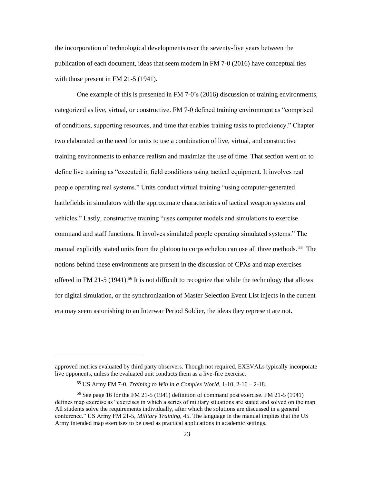the incorporation of technological developments over the seventy-five years between the publication of each document, ideas that seem modern in FM 7-0 (2016) have conceptual ties with those present in FM 21-5 (1941).

One example of this is presented in FM 7-0's (2016) discussion of training environments, categorized as live, virtual, or constructive. FM 7-0 defined training environment as "comprised of conditions, supporting resources, and time that enables training tasks to proficiency." Chapter two elaborated on the need for units to use a combination of live, virtual, and constructive training environments to enhance realism and maximize the use of time. That section went on to define live training as "executed in field conditions using tactical equipment. It involves real people operating real systems." Units conduct virtual training "using computer-generated battlefields in simulators with the approximate characteristics of tactical weapon systems and vehicles." Lastly, constructive training "uses computer models and simulations to exercise command and staff functions. It involves simulated people operating simulated systems." The manual explicitly stated units from the platoon to corps echelon can use all three methods.<sup>55</sup> The notions behind these environments are present in the discussion of CPXs and map exercises offered in FM 21-5 (1941).<sup>56</sup> It is not difficult to recognize that while the technology that allows for digital simulation, or the synchronization of Master Selection Event List injects in the current era may seem astonishing to an Interwar Period Soldier, the ideas they represent are not.

approved metrics evaluated by third party observers. Though not required, EXEVALs typically incorporate live opponents, unless the evaluated unit conducts them as a live-fire exercise.

<sup>55</sup> US Army FM 7-0, *Training to Win in a Complex World*, 1-10, 2-16 – 2-18.

<sup>56</sup> See page 16 for the FM 21-5 (1941) definition of command post exercise. FM 21-5 (1941) defines map exercise as "exercises in which a series of military situations are stated and solved on the map. All students solve the requirements individually, after which the solutions are discussed in a general conference." US Army FM 21-5*, Military Training*, 45. The language in the manual implies that the US Army intended map exercises to be used as practical applications in academic settings.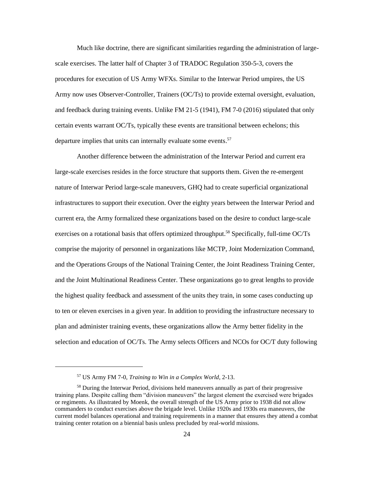Much like doctrine, there are significant similarities regarding the administration of largescale exercises. The latter half of Chapter 3 of TRADOC Regulation 350-5-3, covers the procedures for execution of US Army WFXs. Similar to the Interwar Period umpires, the US Army now uses Observer-Controller, Trainers (OC/Ts) to provide external oversight, evaluation, and feedback during training events. Unlike FM 21-5 (1941), FM 7-0 (2016) stipulated that only certain events warrant OC/Ts, typically these events are transitional between echelons; this departure implies that units can internally evaluate some events.<sup>57</sup>

Another difference between the administration of the Interwar Period and current era large-scale exercises resides in the force structure that supports them. Given the re-emergent nature of Interwar Period large-scale maneuvers, GHQ had to create superficial organizational infrastructures to support their execution. Over the eighty years between the Interwar Period and current era, the Army formalized these organizations based on the desire to conduct large-scale exercises on a rotational basis that offers optimized throughput.<sup>58</sup> Specifically, full-time OC/Ts comprise the majority of personnel in organizations like MCTP, Joint Modernization Command, and the Operations Groups of the National Training Center, the Joint Readiness Training Center, and the Joint Multinational Readiness Center. These organizations go to great lengths to provide the highest quality feedback and assessment of the units they train, in some cases conducting up to ten or eleven exercises in a given year. In addition to providing the infrastructure necessary to plan and administer training events, these organizations allow the Army better fidelity in the selection and education of OC/Ts. The Army selects Officers and NCOs for OC/T duty following

<sup>57</sup> US Army FM 7-0, *Training to Win in a Complex World*, 2-13.

<sup>&</sup>lt;sup>58</sup> During the Interwar Period, divisions held maneuvers annually as part of their progressive training plans. Despite calling them "division maneuvers" the largest element the exercised were brigades or regiments. As illustrated by Moenk, the overall strength of the US Army prior to 1938 did not allow commanders to conduct exercises above the brigade level. Unlike 1920s and 1930s era maneuvers, the current model balances operational and training requirements in a manner that ensures they attend a combat training center rotation on a biennial basis unless precluded by real-world missions.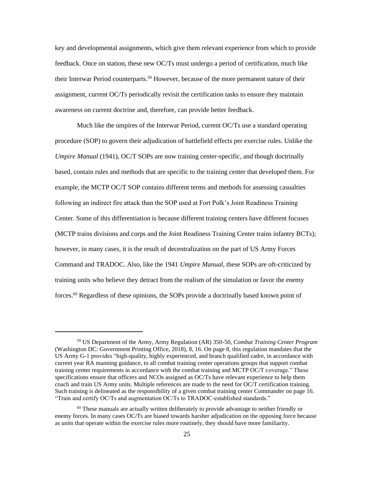key and developmental assignments, which give them relevant experience from which to provide feedback. Once on station, these new OC/Ts must undergo a period of certification, much like their Interwar Period counterparts. <sup>59</sup> However, because of the more permanent nature of their assignment, current OC/Ts periodically revisit the certification tasks to ensure they maintain awareness on current doctrine and, therefore, can provide better feedback.

Much like the umpires of the Interwar Period, current OC/Ts use a standard operating procedure (SOP) to govern their adjudication of battlefield effects per exercise rules. Unlike the *Umpire Manual* (1941), OC/T SOPs are now training center-specific, and though doctrinally based, contain rules and methods that are specific to the training center that developed them. For example, the MCTP OC/T SOP contains different terms and methods for assessing casualties following an indirect fire attack than the SOP used at Fort Polk's Joint Readiness Training Center. Some of this differentiation is because different training centers have different focuses (MCTP trains divisions and corps and the Joint Readiness Training Center trains infantry BCTs); however, in many cases, it is the result of decentralization on the part of US Army Forces Command and TRADOC. Also, like the 1941 *Umpire Manual,* these SOPs are oft-criticized by training units who believe they detract from the realism of the simulation or favor the enemy forces. <sup>60</sup> Regardless of these opinions, the SOPs provide a doctrinally based known point of

<sup>59</sup> US Department of the Army, Army Regulation (AR) 350-50, *Combat Training Center Program* (Washington DC: Government Printing Office, 2018), 8, 16. On page 8, this regulation mandates that the US Army G-1 provides "high-quality, highly experienced, and branch qualified cadre, in accordance with current year RA manning guidance, to all combat training center operations groups that support combat training center requirements in accordance with the combat training and MCTP OC/T coverage." These specifications ensure that officers and NCOs assigned as OC/Ts have relevant experience to help them coach and train US Army units. Multiple references are made to the need for OC/T certification training. Such training is delineated as the responsibility of a given combat training center Commander on page 16. "Train and certify OC/Ts and augmentation OC/Ts to TRADOC-established standards."

 $60$  These manuals are actually written deliberately to provide advantage to neither friendly or enemy forces. In many cases OC/Ts are biased towards harsher adjudication on the opposing force because as units that operate within the exercise rules more routinely, they should have more familiarity.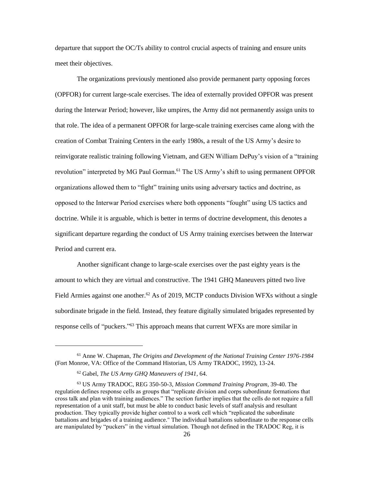departure that support the OC/Ts ability to control crucial aspects of training and ensure units meet their objectives.

The organizations previously mentioned also provide permanent party opposing forces (OPFOR) for current large-scale exercises. The idea of externally provided OPFOR was present during the Interwar Period; however, like umpires, the Army did not permanently assign units to that role. The idea of a permanent OPFOR for large-scale training exercises came along with the creation of Combat Training Centers in the early 1980s, a result of the US Army's desire to reinvigorate realistic training following Vietnam, and GEN William DePuy's vision of a "training revolution" interpreted by MG Paul Gorman.<sup>61</sup> The US Army's shift to using permanent OPFOR organizations allowed them to "fight" training units using adversary tactics and doctrine, as opposed to the Interwar Period exercises where both opponents "fought" using US tactics and doctrine. While it is arguable, which is better in terms of doctrine development, this denotes a significant departure regarding the conduct of US Army training exercises between the Interwar Period and current era.

Another significant change to large-scale exercises over the past eighty years is the amount to which they are virtual and constructive. The 1941 GHQ Maneuvers pitted two live Field Armies against one another.<sup>62</sup> As of 2019, MCTP conducts Division WFXs without a single subordinate brigade in the field. Instead, they feature digitally simulated brigades represented by response cells of "puckers."<sup>63</sup> This approach means that current WFXs are more similar in

<sup>61</sup> Anne W. Chapman, *The Origins and Development of the National Training Center 1976-1984*  (Fort Monroe, VA: Office of the Command Historian, US Army TRADOC, 1992), 13-24.

<sup>62</sup> Gabel, *The US Army GHQ Maneuvers of 1941*, 64.

<sup>63</sup> US Army TRADOC, REG 350-50-3, *Mission Command Training Program*, 39-40. The regulation defines response cells as groups that "replicate division and corps subordinate formations that cross talk and plan with training audiences." The section further implies that the cells do not require a full representation of a unit staff, but must be able to conduct basic levels of staff analysis and resultant production. They typically provide higher control to a work cell which "replicated the subordinate battalions and brigades of a training audience." The individual battalions subordinate to the response cells are manipulated by "puckers" in the virtual simulation. Though not defined in the TRADOC Reg, it is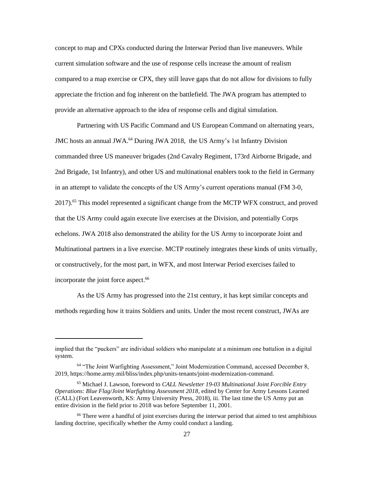concept to map and CPXs conducted during the Interwar Period than live maneuvers. While current simulation software and the use of response cells increase the amount of realism compared to a map exercise or CPX, they still leave gaps that do not allow for divisions to fully appreciate the friction and fog inherent on the battlefield. The JWA program has attempted to provide an alternative approach to the idea of response cells and digital simulation.

Partnering with US Pacific Command and US European Command on alternating years, JMC hosts an annual JWA.<sup>64</sup> During JWA 2018, the US Army's 1st Infantry Division commanded three US maneuver brigades (2nd Cavalry Regiment, 173rd Airborne Brigade, and 2nd Brigade, 1st Infantry), and other US and multinational enablers took to the field in Germany in an attempt to validate the concepts of the US Army's current operations manual (FM 3-0, 2017). <sup>65</sup> This model represented a significant change from the MCTP WFX construct, and proved that the US Army could again execute live exercises at the Division, and potentially Corps echelons. JWA 2018 also demonstrated the ability for the US Army to incorporate Joint and Multinational partners in a live exercise. MCTP routinely integrates these kinds of units virtually, or constructively, for the most part, in WFX, and most Interwar Period exercises failed to incorporate the joint force aspect. 66

As the US Army has progressed into the 21st century, it has kept similar concepts and methods regarding how it trains Soldiers and units. Under the most recent construct, JWAs are

implied that the "puckers" are individual soldiers who manipulate at a minimum one battalion in a digital system.

<sup>64</sup> "The Joint Warfighting Assessment," Joint Modernization Command, accessed December 8, 2019, [https://home.army.mil/bliss/index.php/units-tenants/joint-modernization-command.](https://home.army.mil/bliss/index.php/units-tenants/joint-modernization-command)

<sup>65</sup> Michael J. Lawson, foreword to *CALL Newsletter 19-03 Multinational Joint Forcible Entry Operations: Blue Flag/Joint Warfighting Assessment 2018*, edited by Center for Army Lessons Learned (CALL) (Fort Leavenworth, KS: Army University Press, 2018), iii. The last time the US Army put an entire division in the field prior to 2018 was before September 11, 2001.

<sup>&</sup>lt;sup>66</sup> There were a handful of joint exercises during the interwar period that aimed to test amphibious landing doctrine, specifically whether the Army could conduct a landing.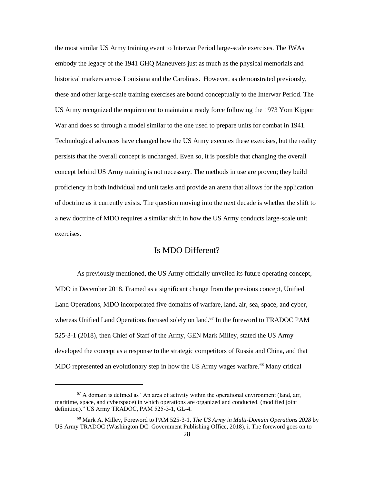the most similar US Army training event to Interwar Period large-scale exercises. The JWAs embody the legacy of the 1941 GHQ Maneuvers just as much as the physical memorials and historical markers across Louisiana and the Carolinas. However, as demonstrated previously, these and other large-scale training exercises are bound conceptually to the Interwar Period. The US Army recognized the requirement to maintain a ready force following the 1973 Yom Kippur War and does so through a model similar to the one used to prepare units for combat in 1941. Technological advances have changed how the US Army executes these exercises, but the reality persists that the overall concept is unchanged. Even so, it is possible that changing the overall concept behind US Army training is not necessary. The methods in use are proven; they build proficiency in both individual and unit tasks and provide an arena that allows for the application of doctrine as it currently exists. The question moving into the next decade is whether the shift to a new doctrine of MDO requires a similar shift in how the US Army conducts large-scale unit exercises.

## Is MDO Different?

<span id="page-35-0"></span>As previously mentioned, the US Army officially unveiled its future operating concept, MDO in December 2018. Framed as a significant change from the previous concept, Unified Land Operations, MDO incorporated five domains of warfare, land, air, sea, space, and cyber, whereas Unified Land Operations focused solely on land.<sup>67</sup> In the foreword to TRADOC PAM 525-3-1 (2018), then Chief of Staff of the Army, GEN Mark Milley, stated the US Army developed the concept as a response to the strategic competitors of Russia and China, and that MDO represented an evolutionary step in how the US Army wages warfare.<sup>68</sup> Many critical

 $67$  A domain is defined as "An area of activity within the operational environment (land, air, maritime, space, and cyberspace) in which operations are organized and conducted. (modified joint definition)." US Army TRADOC, PAM 525-3-1, GL-4.

<sup>68</sup> Mark A. Milley, Foreword to PAM 525-3-1, *The US Army in Multi-Domain Operations 2028* by US Army TRADOC (Washington DC: Government Publishing Office, 2018), i. The foreword goes on to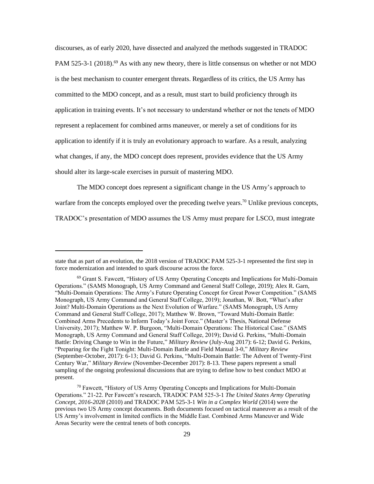discourses, as of early 2020, have dissected and analyzed the methods suggested in TRADOC PAM 525-3-1 (2018).<sup>69</sup> As with any new theory, there is little consensus on whether or not MDO is the best mechanism to counter emergent threats. Regardless of its critics, the US Army has committed to the MDO concept, and as a result, must start to build proficiency through its application in training events. It's not necessary to understand whether or not the tenets of MDO represent a replacement for combined arms maneuver, or merely a set of conditions for its application to identify if it is truly an evolutionary approach to warfare. As a result, analyzing what changes, if any, the MDO concept does represent, provides evidence that the US Army should alter its large-scale exercises in pursuit of mastering MDO.

The MDO concept does represent a significant change in the US Army's approach to warfare from the concepts employed over the preceding twelve years.<sup>70</sup> Unlike previous concepts, TRADOC's presentation of MDO assumes the US Army must prepare for LSCO, must integrate

state that as part of an evolution, the 2018 version of TRADOC PAM 525-3-1 represented the first step in force modernization and intended to spark discourse across the force.

<sup>69</sup> Grant S. Fawcett, "History of US Army Operating Concepts and Implications for Multi-Domain Operations." (SAMS Monograph, US Army Command and General Staff College, 2019); Alex R. Garn, "Multi-Domain Operations: The Army's Future Operating Concept for Great Power Competition." (SAMS Monograph, US Army Command and General Staff College, 2019); Jonathan, W. Bott, "What's after Joint? Multi-Domain Operations as the Next Evolution of Warfare." (SAMS Monograph, US Army Command and General Staff College, 2017); Matthew W. Brown, "Toward Multi-Domain Battle: Combined Arms Precedents to Inform Today's Joint Force." (Master's Thesis, National Defense University, 2017); Matthew W. P. Burgoon, "Multi-Domain Operations: The Historical Case." (SAMS Monograph, US Army Command and General Staff College, 2019); David G. Perkins, "Multi-Domain Battle: Driving Change to Win in the Future," *Military Review* (July-Aug 2017): 6-12; David G. Perkins, "Preparing for the Fight Tonight: Multi-Domain Battle and Field Manual 3-0," *Military Review* (September-October, 2017): 6-13; David G. Perkins, "Multi-Domain Battle: The Advent of Twenty-First Century War," *Military Review* (November-December 2017): 8-13. These papers represent a small sampling of the ongoing professional discussions that are trying to define how to best conduct MDO at present.

 $70$  Fawcett, "History of US Army Operating Concepts and Implications for Multi-Domain Operations." 21-22. Per Fawcett's research, TRADOC PAM 525-3-1 *The United States Army Operating Concept, 2016-2028* (2010) and TRADOC PAM 525-3-1 *Win in a Complex World* (2014) were the previous two US Army concept documents. Both documents focused on tactical maneuver as a result of the US Army's involvement in limited conflicts in the Middle East. Combined Arms Maneuver and Wide Areas Security were the central tenets of both concepts.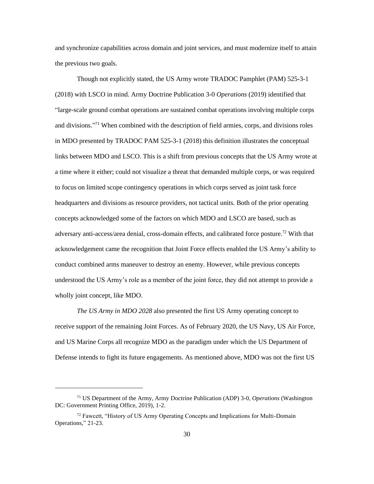and synchronize capabilities across domain and joint services, and must modernize itself to attain the previous two goals.

Though not explicitly stated, the US Army wrote TRADOC Pamphlet (PAM) 525-3-1 (2018) with LSCO in mind. Army Doctrine Publication 3-0 *Operations* (2019) identified that "large-scale ground combat operations are sustained combat operations involving multiple corps and divisions." <sup>71</sup> When combined with the description of field armies, corps, and divisions roles in MDO presented by TRADOC PAM 525-3-1 (2018) this definition illustrates the conceptual links between MDO and LSCO. This is a shift from previous concepts that the US Army wrote at a time where it either; could not visualize a threat that demanded multiple corps, or was required to focus on limited scope contingency operations in which corps served as joint task force headquarters and divisions as resource providers, not tactical units. Both of the prior operating concepts acknowledged some of the factors on which MDO and LSCO are based, such as adversary anti-access/area denial, cross-domain effects, and calibrated force posture.<sup>72</sup> With that acknowledgement came the recognition that Joint Force effects enabled the US Army's ability to conduct combined arms maneuver to destroy an enemy. However, while previous concepts understood the US Army's role as a member of the joint force, they did not attempt to provide a wholly joint concept, like MDO.

*The US Army in MDO 2028* also presented the first US Army operating concept to receive support of the remaining Joint Forces. As of February 2020, the US Navy, US Air Force, and US Marine Corps all recognize MDO as the paradigm under which the US Department of Defense intends to fight its future engagements. As mentioned above, MDO was not the first US

<sup>71</sup> US Department of the Army, Army Doctrine Publication (ADP) 3-0, *Operations* (Washington DC: Government Printing Office, 2019), 1-2.

 $72$  Fawcett, "History of US Army Operating Concepts and Implications for Multi-Domain Operations," 21-23.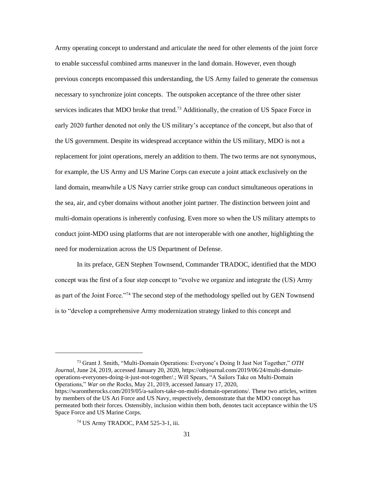Army operating concept to understand and articulate the need for other elements of the joint force to enable successful combined arms maneuver in the land domain. However, even though previous concepts encompassed this understanding, the US Army failed to generate the consensus necessary to synchronize joint concepts. The outspoken acceptance of the three other sister services indicates that MDO broke that trend.<sup>73</sup> Additionally, the creation of US Space Force in early 2020 further denoted not only the US military's acceptance of the concept, but also that of the US government. Despite its widespread acceptance within the US military, MDO is not a replacement for joint operations, merely an addition to them. The two terms are not synonymous, for example, the US Army and US Marine Corps can execute a joint attack exclusively on the land domain, meanwhile a US Navy carrier strike group can conduct simultaneous operations in the sea, air, and cyber domains without another joint partner. The distinction between joint and multi-domain operations is inherently confusing. Even more so when the US military attempts to conduct joint-MDO using platforms that are not interoperable with one another, highlighting the need for modernization across the US Department of Defense.

In its preface, GEN Stephen Townsend, Commander TRADOC, identified that the MDO concept was the first of a four step concept to "evolve we organize and integrate the (US) Army as part of the Joint Force."<sup>74</sup> The second step of the methodology spelled out by GEN Townsend is to "develop a comprehensive Army modernization strategy linked to this concept and

<sup>73</sup> Grant J. Smith, "Multi-Domain Operations: Everyone's Doing It Just Not Together," *OTH Journal*, June 24, 2019, accessed January 20, 2020, [https://othjournal.com/2019/06/24/multi-domain](https://othjournal.com/2019/06/24/multi-domain-operations-everyones-doing-it-just-not-together/)[operations-everyones-doing-it-just-not-together/.;](https://othjournal.com/2019/06/24/multi-domain-operations-everyones-doing-it-just-not-together/) Will Spears, "A Sailors Take on Multi-Domain Operations," *War on the* Rocks, May 21, 2019, accessed January 17, 2020,

[https://warontherocks.com/2019/05/a-sailors-take-on-multi-domain-operations/.](https://warontherocks.com/2019/05/a-sailors-take-on-multi-domain-operations/) These two articles, written by members of the US Ari Force and US Navy, respectively, demonstrate that the MDO concept has permeated both their forces. Ostensibly, inclusion within them both, denotes tacit acceptance within the US Space Force and US Marine Corps.

<sup>74</sup> US Army TRADOC, PAM 525-3-1, iii.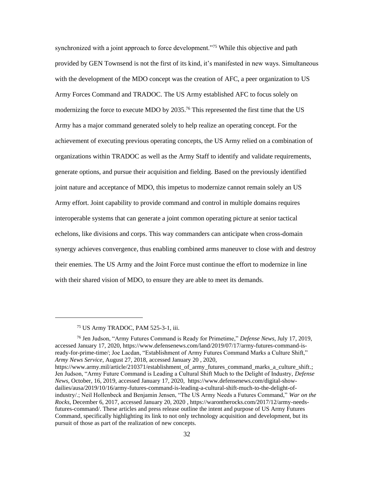synchronized with a joint approach to force development."<sup>75</sup> While this objective and path provided by GEN Townsend is not the first of its kind, it's manifested in new ways. Simultaneous with the development of the MDO concept was the creation of AFC, a peer organization to US Army Forces Command and TRADOC. The US Army established AFC to focus solely on modernizing the force to execute MDO by 2035.<sup>76</sup> This represented the first time that the US Army has a major command generated solely to help realize an operating concept. For the achievement of executing previous operating concepts, the US Army relied on a combination of organizations within TRADOC as well as the Army Staff to identify and validate requirements, generate options, and pursue their acquisition and fielding. Based on the previously identified joint nature and acceptance of MDO, this impetus to modernize cannot remain solely an US Army effort. Joint capability to provide command and control in multiple domains requires interoperable systems that can generate a joint common operating picture at senior tactical echelons, like divisions and corps. This way commanders can anticipate when cross-domain synergy achieves convergence, thus enabling combined arms maneuver to close with and destroy their enemies. The US Army and the Joint Force must continue the effort to modernize in line with their shared vision of MDO, to ensure they are able to meet its demands.

<sup>75</sup> US Army TRADOC, PAM 525-3-1, iii.

<sup>76</sup> Jen Judson, "Army Futures Command is Ready for Primetime," *Defense News,* July 17, 2019, accessed January 17, 2020, [https://www.defensenews.com/land/2019/07/17/army-futures-command-is](https://www.defensenews.com/land/2019/07/17/army-futures-command-is-ready-for-prime-time/)[ready-for-prime-time/;](https://www.defensenews.com/land/2019/07/17/army-futures-command-is-ready-for-prime-time/) Joe Lacdan, "Establishment of Army Futures Command Marks a Culture Shift," *Army News Service*, August 27, 2018, accessed January 20 , 2020,

https://www.army.mil/article/210371/establishment of army futures command marks a culture shift.; Jen Judson, "Army Future Command is Leading a Cultural Shift Much to the Delight of Industry, *Defense News*, October, 16, 2019, accessed January 17, 2020, [https://www.defensenews.com/digital-show](https://www.defensenews.com/digital-show-dailies/ausa/2019/10/16/army-futures-command-is-leading-a-cultural-shift-much-to-the-delight-of-industry/)[dailies/ausa/2019/10/16/army-futures-command-is-leading-a-cultural-shift-much-to-the-delight-of](https://www.defensenews.com/digital-show-dailies/ausa/2019/10/16/army-futures-command-is-leading-a-cultural-shift-much-to-the-delight-of-industry/)[industry/.](https://www.defensenews.com/digital-show-dailies/ausa/2019/10/16/army-futures-command-is-leading-a-cultural-shift-much-to-the-delight-of-industry/); Neil Hollenbeck and Benjamin Jensen, "The US Army Needs a Futures Command," *War on the Rocks*, December 6, 2017, accessed January 20, 2020 , [https://warontherocks.com/2017/12/army-needs](https://warontherocks.com/2017/12/army-needs-futures-command/)[futures-command/.](https://warontherocks.com/2017/12/army-needs-futures-command/) These articles and press release outline the intent and purpose of US Army Futures Command, specifically highlighting its link to not only technology acquisition and development, but its pursuit of those as part of the realization of new concepts.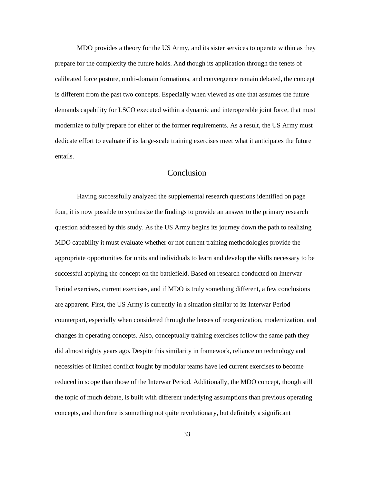MDO provides a theory for the US Army, and its sister services to operate within as they prepare for the complexity the future holds. And though its application through the tenets of calibrated force posture, multi-domain formations, and convergence remain debated, the concept is different from the past two concepts. Especially when viewed as one that assumes the future demands capability for LSCO executed within a dynamic and interoperable joint force, that must modernize to fully prepare for either of the former requirements. As a result, the US Army must dedicate effort to evaluate if its large-scale training exercises meet what it anticipates the future entails.

## Conclusion

<span id="page-40-0"></span>Having successfully analyzed the supplemental research questions identified on page four, it is now possible to synthesize the findings to provide an answer to the primary research question addressed by this study. As the US Army begins its journey down the path to realizing MDO capability it must evaluate whether or not current training methodologies provide the appropriate opportunities for units and individuals to learn and develop the skills necessary to be successful applying the concept on the battlefield. Based on research conducted on Interwar Period exercises, current exercises, and if MDO is truly something different, a few conclusions are apparent. First, the US Army is currently in a situation similar to its Interwar Period counterpart, especially when considered through the lenses of reorganization, modernization, and changes in operating concepts. Also, conceptually training exercises follow the same path they did almost eighty years ago. Despite this similarity in framework, reliance on technology and necessities of limited conflict fought by modular teams have led current exercises to become reduced in scope than those of the Interwar Period. Additionally, the MDO concept, though still the topic of much debate, is built with different underlying assumptions than previous operating concepts, and therefore is something not quite revolutionary, but definitely a significant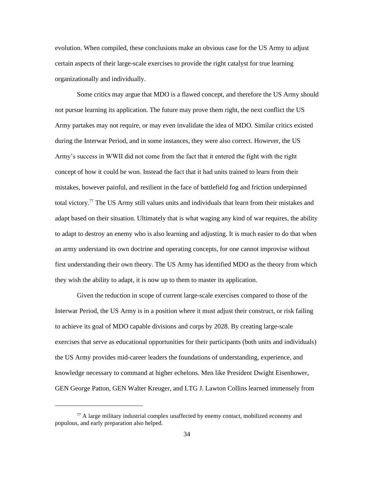evolution. When compiled, these conclusions make an obvious case for the US Army to adjust certain aspects of their large-scale exercises to provide the right catalyst for true learning organizationally and individually.

Some critics may argue that MDO is a flawed concept, and therefore the US Army should not pursue learning its application. The future may prove them right, the next conflict the US Army partakes may not require, or may even invalidate the idea of MDO. Similar critics existed during the Interwar Period, and in some instances, they were also correct. However, the US Army's success in WWII did not come from the fact that it entered the fight with the right concept of how it could be won. Instead the fact that it had units trained to learn from their mistakes, however painful, and resilient in the face of battlefield fog and friction underpinned total victory. <sup>77</sup> The US Army still values units and individuals that learn from their mistakes and adapt based on their situation. Ultimately that is what waging any kind of war requires, the ability to adapt to destroy an enemy who is also learning and adjusting. It is much easier to do that when an army understand its own doctrine and operating concepts, for one cannot improvise without first understanding their own theory. The US Army has identified MDO as the theory from which they wish the ability to adapt, it is now up to them to master its application.

Given the reduction in scope of current large-scale exercises compared to those of the Interwar Period, the US Army is in a position where it must adjust their construct, or risk failing to achieve its goal of MDO capable divisions and corps by 2028. By creating large-scale exercises that serve as educational opportunities for their participants (both units and individuals) the US Army provides mid-career leaders the foundations of understanding, experience, and knowledge necessary to command at higher echelons. Men like President Dwight Eisenhower, GEN George Patton, GEN Walter Kreuger, and LTG J. Lawton Collins learned immensely from

 $77$  A large military industrial complex unaffected by enemy contact, mobilized economy and populous, and early preparation also helped.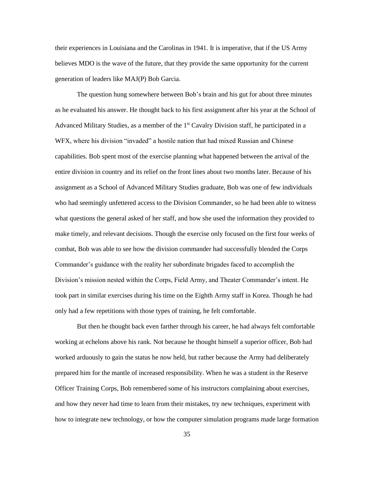their experiences in Louisiana and the Carolinas in 1941. It is imperative, that if the US Army believes MDO is the wave of the future, that they provide the same opportunity for the current generation of leaders like MAJ(P) Bob Garcia.

The question hung somewhere between Bob's brain and his gut for about three minutes as he evaluated his answer. He thought back to his first assignment after his year at the School of Advanced Military Studies, as a member of the  $1<sup>st</sup>$  Cavalry Division staff, he participated in a WFX, where his division "invaded" a hostile nation that had mixed Russian and Chinese capabilities. Bob spent most of the exercise planning what happened between the arrival of the entire division in country and its relief on the front lines about two months later. Because of his assignment as a School of Advanced Military Studies graduate, Bob was one of few individuals who had seemingly unfettered access to the Division Commander, so he had been able to witness what questions the general asked of her staff, and how she used the information they provided to make timely, and relevant decisions. Though the exercise only focused on the first four weeks of combat, Bob was able to see how the division commander had successfully blended the Corps Commander's guidance with the reality her subordinate brigades faced to accomplish the Division's mission nested within the Corps, Field Army, and Theater Commander's intent. He took part in similar exercises during his time on the Eighth Army staff in Korea. Though he had only had a few repetitions with those types of training, he felt comfortable.

But then he thought back even farther through his career, he had always felt comfortable working at echelons above his rank. Not because he thought himself a superior officer, Bob had worked arduously to gain the status he now held, but rather because the Army had deliberately prepared him for the mantle of increased responsibility. When he was a student in the Reserve Officer Training Corps, Bob remembered some of his instructors complaining about exercises, and how they never had time to learn from their mistakes, try new techniques, experiment with how to integrate new technology, or how the computer simulation programs made large formation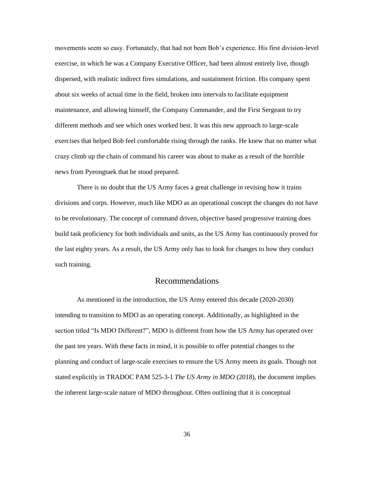movements seem so easy. Fortunately, that had not been Bob's experience. His first division-level exercise, in which he was a Company Executive Officer, had been almost entirely live, though dispersed, with realistic indirect fires simulations, and sustainment friction. His company spent about six weeks of actual time in the field, broken into intervals to facilitate equipment maintenance, and allowing himself, the Company Commander, and the First Sergeant to try different methods and see which ones worked best. It was this new approach to large-scale exercises that helped Bob feel comfortable rising through the ranks. He knew that no matter what crazy climb up the chain of command his career was about to make as a result of the horrible news from Pyeongtaek that he stood prepared.

There is no doubt that the US Army faces a great challenge in revising how it trains divisions and corps. However, much like MDO as an operational concept the changes do not have to be revolutionary. The concept of command driven, objective based progressive training does build task proficiency for both individuals and units, as the US Army has continuously proved for the last eighty years. As a result, the US Army only has to look for changes to how they conduct such training.

#### Recommendations

<span id="page-43-0"></span>As mentioned in the introduction, the US Army entered this decade (2020-2030) intending to transition to MDO as an operating concept. Additionally, as highlighted in the section titled "Is MDO Different?", MDO is different from how the US Army has operated over the past ten years. With these facts in mind, it is possible to offer potential changes to the planning and conduct of large-scale exercises to ensure the US Army meets its goals. Though not stated explicitly in TRADOC PAM 525-3-1 *The US Army in MDO* (2018), the document implies the inherent large-scale nature of MDO throughout. Often outlining that it is conceptual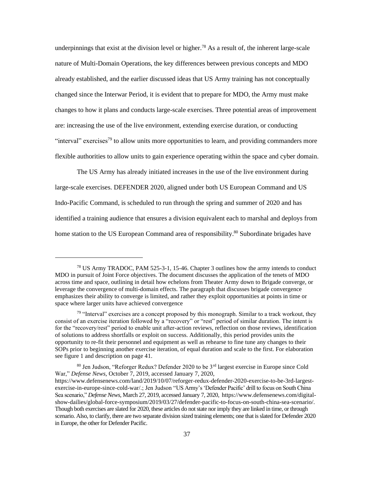underpinnings that exist at the division level or higher.<sup>78</sup> As a result of, the inherent large-scale nature of Multi-Domain Operations, the key differences between previous concepts and MDO already established, and the earlier discussed ideas that US Army training has not conceptually changed since the Interwar Period, it is evident that to prepare for MDO, the Army must make changes to how it plans and conducts large-scale exercises. Three potential areas of improvement are: increasing the use of the live environment, extending exercise duration, or conducting "interval" exercises<sup>79</sup> to allow units more opportunities to learn, and providing commanders more flexible authorities to allow units to gain experience operating within the space and cyber domain.

The US Army has already initiated increases in the use of the live environment during large-scale exercises. DEFENDER 2020, aligned under both US European Command and US Indo-Pacific Command, is scheduled to run through the spring and summer of 2020 and has identified a training audience that ensures a division equivalent each to marshal and deploys from home station to the US European Command area of responsibility.<sup>80</sup> Subordinate brigades have

<sup>&</sup>lt;sup>78</sup> US Army TRADOC, PAM 525-3-1, 15-46. Chapter 3 outlines how the army intends to conduct MDO in pursuit of Joint Force objectives. The document discusses the application of the tenets of MDO across time and space, outlining in detail how echelons from Theater Army down to Brigade converge, or leverage the convergence of multi-domain effects. The paragraph that discusses brigade convergence emphasizes their ability to converge is limited, and rather they exploit opportunities at points in time or space where larger units have achieved convergence

 $79$  "Interval" exercises are a concept proposed by this monograph. Similar to a track workout, they consist of an exercise iteration followed by a "recovery" or "rest" period of similar duration. The intent is for the "recovery/rest" period to enable unit after-action reviews, reflection on those reviews, identification of solutions to address shortfalls or exploit on success. Additionally, this period provides units the opportunity to re-fit their personnel and equipment as well as rehearse to fine tune any changes to their SOPs prior to beginning another exercise iteration, of equal duration and scale to the first. For elaboration see figure 1 and description on page 41.

<sup>&</sup>lt;sup>80</sup> Jen Judson, "Reforger Redux? Defender 2020 to be  $3<sup>rd</sup>$  largest exercise in Europe since Cold War," *Defense News,* October 7, 2019, accessed January 7, 2020, [https://www.defensenews.com/land/2019/10/07/reforger-redux-defender-2020-exercise-to-be-3rd-largest](https://www.defensenews.com/land/2019/10/07/reforger-redux-defender-2020-exercise-to-be-3rd-largest-exercise-in-europe-since-cold-war/)[exercise-in-europe-since-cold-war/.](https://www.defensenews.com/land/2019/10/07/reforger-redux-defender-2020-exercise-to-be-3rd-largest-exercise-in-europe-since-cold-war/); Jen Judson "US Army's 'Defender Pacific' drill to focus on South China Sea scenario," *Defense News,* March 27, 2019, accessed January 7, 2020, [https://www.defensenews.com/digital](https://www.defensenews.com/digital-show-dailies/global-force-symposium/2019/03/27/defender-pacific-to-focus-on-south-china-sea-scenario/)[show-dailies/global-force-symposium/2019/03/27/defender-pacific-to-focus-on-south-china-sea-scenario/.](https://www.defensenews.com/digital-show-dailies/global-force-symposium/2019/03/27/defender-pacific-to-focus-on-south-china-sea-scenario/) Though both exercises are slated for 2020, these articles do not state nor imply they are linked in time, or through scenario. Also, to clarify, there are two separate division sized training elements; one that is slated for Defender 2020 in Europe, the other for Defender Pacific.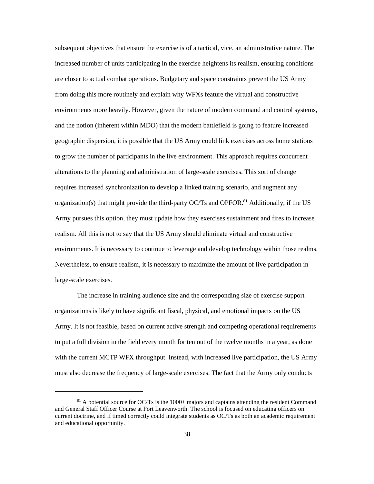subsequent objectives that ensure the exercise is of a tactical, vice, an administrative nature. The increased number of units participating in the exercise heightens its realism, ensuring conditions are closer to actual combat operations. Budgetary and space constraints prevent the US Army from doing this more routinely and explain why WFXs feature the virtual and constructive environments more heavily. However, given the nature of modern command and control systems, and the notion (inherent within MDO) that the modern battlefield is going to feature increased geographic dispersion, it is possible that the US Army could link exercises across home stations to grow the number of participants in the live environment. This approach requires concurrent alterations to the planning and administration of large-scale exercises. This sort of change requires increased synchronization to develop a linked training scenario, and augment any organization(s) that might provide the third-party OC/Ts and OPFOR.<sup>81</sup> Additionally, if the US Army pursues this option, they must update how they exercises sustainment and fires to increase realism. All this is not to say that the US Army should eliminate virtual and constructive environments. It is necessary to continue to leverage and develop technology within those realms. Nevertheless, to ensure realism, it is necessary to maximize the amount of live participation in large-scale exercises.

The increase in training audience size and the corresponding size of exercise support organizations is likely to have significant fiscal, physical, and emotional impacts on the US Army. It is not feasible, based on current active strength and competing operational requirements to put a full division in the field every month for ten out of the twelve months in a year, as done with the current MCTP WFX throughput. Instead, with increased live participation, the US Army must also decrease the frequency of large-scale exercises. The fact that the Army only conducts

 $81$  A potential source for OC/Ts is the 1000+ majors and captains attending the resident Command and General Staff Officer Course at Fort Leavenworth. The school is focused on educating officers on current doctrine, and if timed correctly could integrate students as OC/Ts as both an academic requirement and educational opportunity.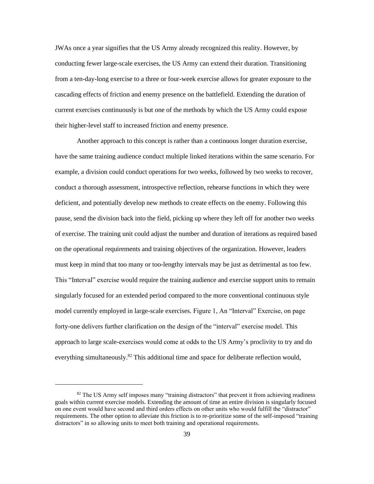JWAs once a year signifies that the US Army already recognized this reality. However, by conducting fewer large-scale exercises, the US Army can extend their duration. Transitioning from a ten-day-long exercise to a three or four-week exercise allows for greater exposure to the cascading effects of friction and enemy presence on the battlefield. Extending the duration of current exercises continuously is but one of the methods by which the US Army could expose their higher-level staff to increased friction and enemy presence.

Another approach to this concept is rather than a continuous longer duration exercise, have the same training audience conduct multiple linked iterations within the same scenario. For example, a division could conduct operations for two weeks, followed by two weeks to recover, conduct a thorough assessment, introspective reflection, rehearse functions in which they were deficient, and potentially develop new methods to create effects on the enemy. Following this pause, send the division back into the field, picking up where they left off for another two weeks of exercise. The training unit could adjust the number and duration of iterations as required based on the operational requirements and training objectives of the organization. However, leaders must keep in mind that too many or too-lengthy intervals may be just as detrimental as too few. This "Interval" exercise would require the training audience and exercise support units to remain singularly focused for an extended period compared to the more conventional continuous style model currently employed in large-scale exercises. Figure 1, An "Interval" Exercise, on page forty-one delivers further clarification on the design of the "interval" exercise model. This approach to large scale-exercises would come at odds to the US Army's proclivity to try and do everything simultaneously.<sup>82</sup> This additional time and space for deliberate reflection would,

 $82$  The US Army self imposes many "training distractors" that prevent it from achieving readiness goals within current exercise models. Extending the amount of time an entire division is singularly focused on one event would have second and third orders effects on other units who would fulfill the "distractor" requirements. The other option to alleviate this friction is to re-prioritize some of the self-imposed "training distractors" in so allowing units to meet both training and operational requirements.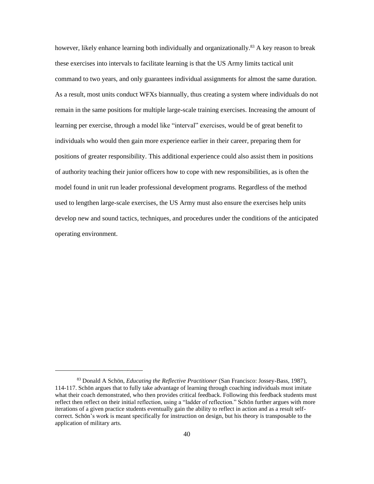however, likely enhance learning both individually and organizationally.<sup>83</sup> A key reason to break these exercises into intervals to facilitate learning is that the US Army limits tactical unit command to two years, and only guarantees individual assignments for almost the same duration. As a result, most units conduct WFXs biannually, thus creating a system where individuals do not remain in the same positions for multiple large-scale training exercises. Increasing the amount of learning per exercise, through a model like "interval" exercises, would be of great benefit to individuals who would then gain more experience earlier in their career, preparing them for positions of greater responsibility. This additional experience could also assist them in positions of authority teaching their junior officers how to cope with new responsibilities, as is often the model found in unit run leader professional development programs. Regardless of the method used to lengthen large-scale exercises, the US Army must also ensure the exercises help units develop new and sound tactics, techniques, and procedures under the conditions of the anticipated operating environment.

<sup>83</sup> Donald A Schön, *Educating the Reflective Practitioner* (San Francisco: Jossey-Bass, 1987), 114-117. Schön argues that to fully take advantage of learning through coaching individuals must imitate what their coach demonstrated, who then provides critical feedback. Following this feedback students must reflect then reflect on their initial reflection, using a "ladder of reflection." Schön further argues with more iterations of a given practice students eventually gain the ability to reflect in action and as a result selfcorrect. Schön's work is meant specifically for instruction on design, but his theory is transposable to the application of military arts.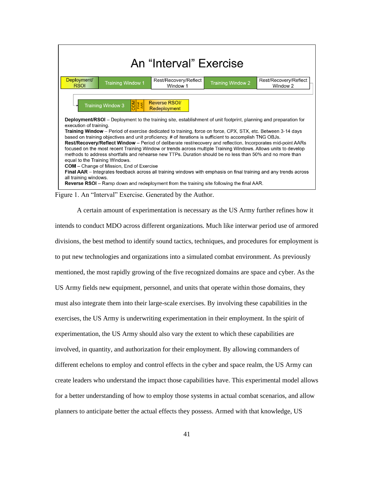<span id="page-48-0"></span>

| An "Interval" Exercise                                                                                                                                                                                                                                                                                                                                                                                                                                                                                                                                                                                                                                                                                                                                                                                                                                                                                                                                                                                                                                                                                                                                       |                          |                                   |                          |                                   |  |
|--------------------------------------------------------------------------------------------------------------------------------------------------------------------------------------------------------------------------------------------------------------------------------------------------------------------------------------------------------------------------------------------------------------------------------------------------------------------------------------------------------------------------------------------------------------------------------------------------------------------------------------------------------------------------------------------------------------------------------------------------------------------------------------------------------------------------------------------------------------------------------------------------------------------------------------------------------------------------------------------------------------------------------------------------------------------------------------------------------------------------------------------------------------|--------------------------|-----------------------------------|--------------------------|-----------------------------------|--|
| Deployment/<br><b>RSOI</b>                                                                                                                                                                                                                                                                                                                                                                                                                                                                                                                                                                                                                                                                                                                                                                                                                                                                                                                                                                                                                                                                                                                                   | <b>Training Window 1</b> | Rest/Recovery/Reflect<br>Window 1 | <b>Training Window 2</b> | Rest/Recovery/Reflect<br>Window 2 |  |
| <b>Reverse RSOI/</b><br>$\frac{20}{\pi}$<br><b>Training Window 3</b><br>Redeployment<br>Deployment/RSOI – Deployment to the training site, establishment of unit footprint, planning and preparation for<br>execution of training.<br><b>Training Window</b> – Period of exercise dedicated to training, force on force, CPX, STX, etc. Between 3-14 days<br>based on training objectives and unit proficiency. # of iterations is sufficient to accomplish TNG OBJs.<br>Rest/Recovery/Reflect Window – Period of deliberate rest/recovery and reflection. Incorporates mid-point AARs<br>focused on the most recent Training Window or trends across multiple Training Windows. Allows units to develop<br>methods to address shortfalls and rehearse new TTPs. Duration should be no less than 50% and no more than<br>equal to the Training Windows.<br><b>COM</b> – Change of Mission, End of Exercise<br>Final AAR – Integrates feedback across all training windows with emphasis on final training and any trends across<br>all training windows.<br><b>Reverse RSOI</b> – Ramp down and redeployment from the training site following the final AAR. |                          |                                   |                          |                                   |  |

Figure 1. An "Interval" Exercise. Generated by the Author.

A certain amount of experimentation is necessary as the US Army further refines how it intends to conduct MDO across different organizations. Much like interwar period use of armored divisions, the best method to identify sound tactics, techniques, and procedures for employment is to put new technologies and organizations into a simulated combat environment. As previously mentioned, the most rapidly growing of the five recognized domains are space and cyber. As the US Army fields new equipment, personnel, and units that operate within those domains, they must also integrate them into their large-scale exercises. By involving these capabilities in the exercises, the US Army is underwriting experimentation in their employment. In the spirit of experimentation, the US Army should also vary the extent to which these capabilities are involved, in quantity, and authorization for their employment. By allowing commanders of different echelons to employ and control effects in the cyber and space realm, the US Army can create leaders who understand the impact those capabilities have. This experimental model allows for a better understanding of how to employ those systems in actual combat scenarios, and allow planners to anticipate better the actual effects they possess. Armed with that knowledge, US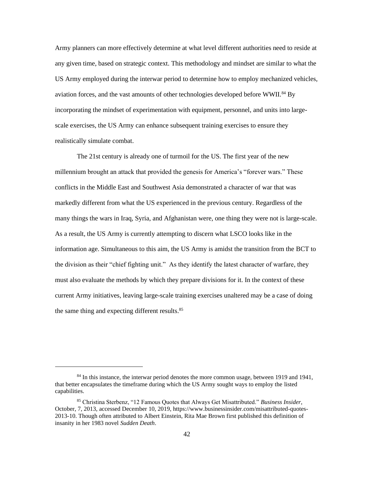Army planners can more effectively determine at what level different authorities need to reside at any given time, based on strategic context. This methodology and mindset are similar to what the US Army employed during the interwar period to determine how to employ mechanized vehicles, aviation forces, and the vast amounts of other technologies developed before WWII.<sup>84</sup> By incorporating the mindset of experimentation with equipment, personnel, and units into largescale exercises, the US Army can enhance subsequent training exercises to ensure they realistically simulate combat.

The 21st century is already one of turmoil for the US. The first year of the new millennium brought an attack that provided the genesis for America's "forever wars." These conflicts in the Middle East and Southwest Asia demonstrated a character of war that was markedly different from what the US experienced in the previous century. Regardless of the many things the wars in Iraq, Syria, and Afghanistan were, one thing they were not is large-scale. As a result, the US Army is currently attempting to discern what LSCO looks like in the information age. Simultaneous to this aim, the US Army is amidst the transition from the BCT to the division as their "chief fighting unit." As they identify the latest character of warfare, they must also evaluate the methods by which they prepare divisions for it. In the context of these current Army initiatives, leaving large-scale training exercises unaltered may be a case of doing the same thing and expecting different results.<sup>85</sup>

 $84$  In this instance, the interwar period denotes the more common usage, between 1919 and 1941, that better encapsulates the timeframe during which the US Army sought ways to employ the listed capabilities.

<sup>85</sup> Christina Sterbenz, "12 Famous Quotes that Always Get Misattributed." *Business Insider*, October, 7, 2013, accessed December 10, 2019, https://www.businessinsider.com/misattributed-quotes-2013-10. Though often attributed to Albert Einstein, Rita Mae Brown first published this definition of insanity in her 1983 novel *Sudden Death*.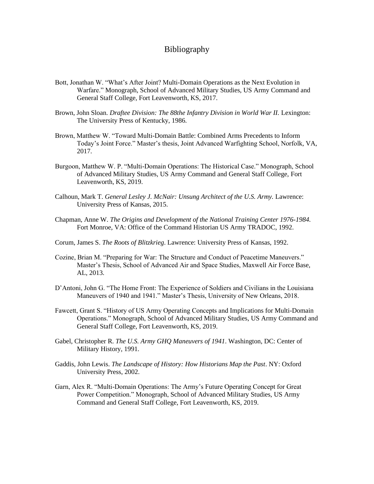### Bibliography

- Bott, Jonathan W. "What's After Joint? Multi-Domain Operations as the Next Evolution in Warfare." Monograph, School of Advanced Military Studies, US Army Command and General Staff College, Fort Leavenworth, KS, 2017.
- Brown, John Sloan. *Draftee Division: The 88the Infantry Division in World War II.* Lexington: The University Press of Kentucky, 1986.
- Brown, Matthew W. "Toward Multi-Domain Battle: Combined Arms Precedents to Inform Today's Joint Force." Master's thesis, Joint Advanced Warfighting School, Norfolk, VA, 2017.
- Burgoon, Matthew W. P. "Multi-Domain Operations: The Historical Case." Monograph, School of Advanced Military Studies, US Army Command and General Staff College, Fort Leavenworth, KS, 2019.
- Calhoun, Mark T. *General Lesley J. McNair: Unsung Architect of the U.S. Army. Lawrence:* University Press of Kansas, 2015.
- Chapman, Anne W. *The Origins and Development of the National Training Center 1976-1984.* Fort Monroe, VA: Office of the Command Historian US Army TRADOC, 1992.
- Corum, James S. *The Roots of Blitzkrieg*. Lawrence: University Press of Kansas, 1992.
- Cozine, Brian M. "Preparing for War: The Structure and Conduct of Peacetime Maneuvers." Master's Thesis, School of Advanced Air and Space Studies, Maxwell Air Force Base, AL, 2013.
- D'Antoni, John G. "The Home Front: The Experience of Soldiers and Civilians in the Louisiana Maneuvers of 1940 and 1941." Master's Thesis, University of New Orleans, 2018.
- Fawcett, Grant S. "History of US Army Operating Concepts and Implications for Multi-Domain Operations." Monograph, School of Advanced Military Studies, US Army Command and General Staff College, Fort Leavenworth, KS, 2019.
- Gabel, Christopher R. *The U.S. Army GHQ Maneuvers of 1941*. Washington, DC: Center of Military History, 1991.
- Gaddis, John Lewis. *The Landscape of History: How Historians Map the Past*. NY: Oxford University Press, 2002.
- Garn, Alex R. "Multi-Domain Operations: The Army's Future Operating Concept for Great Power Competition." Monograph, School of Advanced Military Studies, US Army Command and General Staff College, Fort Leavenworth, KS, 2019.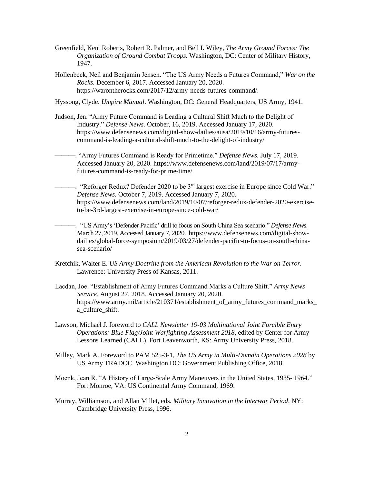- Greenfield, Kent Roberts, Robert R. Palmer, and Bell I. Wiley, *The Army Ground Forces: The Organization of Ground Combat Troops.* Washington, DC: Center of Military History, 1947.
- Hollenbeck, Neil and Benjamin Jensen. "The US Army Needs a Futures Command," *War on the Rocks.* December 6, 2017. Accessed January 20, 2020. [https://warontherocks.com/2017/12/army-needs-futures-command/.](https://warontherocks.com/2017/12/army-needs-futures-command/)

Hyssong, Clyde. *Umpire Manual*. Washington, DC: General Headquarters, US Army, 1941.

- Judson, Jen. "Army Future Command is Leading a Cultural Shift Much to the Delight of Industry." *Defense News.* October, 16, 2019. Accessed January 17, 2020. [https://www.defensenews.com/digital-show-dailies/ausa/2019/10/16/army-futures](https://www.defensenews.com/digital-show-dailies/ausa/2019/10/16/army-futures-command-is-leading-a-cultural-shift-much-to-the-delight-of-industry/)[command-is-leading-a-cultural-shift-much-to-the-delight-of-industry/](https://www.defensenews.com/digital-show-dailies/ausa/2019/10/16/army-futures-command-is-leading-a-cultural-shift-much-to-the-delight-of-industry/)
	- ⎯⎯⎯. "Army Futures Command is Ready for Primetime." *Defense News.* July 17, 2019. Accessed January 20, 2020. [https://www.defensenews.com/land/2019/07/17/army](https://www.defensenews.com/land/2019/07/17/army-futures-command-is-ready-for-prime-time/)[futures-command-is-ready-for-prime-time/.](https://www.defensenews.com/land/2019/07/17/army-futures-command-is-ready-for-prime-time/)
	- ——. "Reforger Redux? Defender 2020 to be  $3<sup>rd</sup>$  largest exercise in Europe since Cold War." *Defense News.* October 7, 2019. Accessed January 7, 2020. [https://www.defensenews.com/land/2019/10/07/reforger-redux-defender-2020-exercise](https://www.defensenews.com/land/2019/10/07/reforger-redux-defender-2020-exercise-to-be-3rd-largest-exercise-in-europe-since-cold-war/)[to-be-3rd-largest-exercise-in-europe-since-cold-war/](https://www.defensenews.com/land/2019/10/07/reforger-redux-defender-2020-exercise-to-be-3rd-largest-exercise-in-europe-since-cold-war/)
	- -. "US Army's 'Defender Pacific' drill to focus on South China Sea scenario." *Defense News.* March 27, 2019. Accessed January 7, 2020. [https://www.defensenews.com/digital-show](https://www.defensenews.com/digital-show-dailies/global-force-symposium/2019/03/27/defender-pacific-to-focus-on-south-china-sea-scenario/)[dailies/global-force-symposium/2019/03/27/defender-pacific-to-focus-on-south-china](https://www.defensenews.com/digital-show-dailies/global-force-symposium/2019/03/27/defender-pacific-to-focus-on-south-china-sea-scenario/)[sea-scenario/](https://www.defensenews.com/digital-show-dailies/global-force-symposium/2019/03/27/defender-pacific-to-focus-on-south-china-sea-scenario/)
- Kretchik, Walter E. *US Army Doctrine from the American Revolution to the War on Terror.* Lawrence: University Press of Kansas, 2011.
- Lacdan, Joe. "Establishment of Army Futures Command Marks a Culture Shift." *Army News Service*. August 27, 2018. Accessed January 20, 2020. https://www.army.mil/article/210371/establishment\_of\_army\_futures\_command\_marks\_ a\_culture\_shift.
- Lawson, Michael J. foreword to *CALL Newsletter 19-03 Multinational Joint Forcible Entry Operations: Blue Flag/Joint Warfighting Assessment 2018*, edited by Center for Army Lessons Learned (CALL). Fort Leavenworth, KS: Army University Press, 2018.
- Milley, Mark A. Foreword to PAM 525-3-1, *The US Army in Multi-Domain Operations 2028* by US Army TRADOC. Washington DC: Government Publishing Office, 2018.
- Moenk, Jean R. "A History of Large-Scale Army Maneuvers in the United States, 1935- 1964." Fort Monroe, VA: US Continental Army Command, 1969.
- Murray, Williamson, and Allan Millet, eds. *Military Innovation in the Interwar Period*. NY: Cambridge University Press, 1996.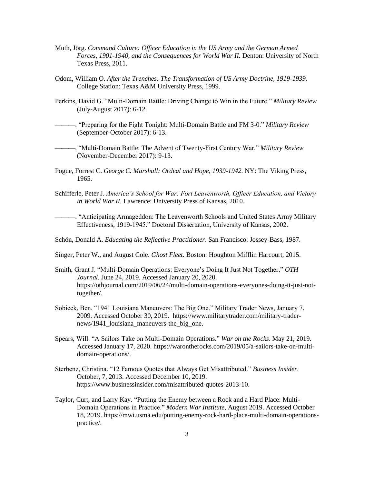- Muth, Jörg. *Command Culture: Officer Education in the US Army and the German Armed Forces, 1901-1940, and the Consequences for World War II.* Denton: University of North Texas Press, 2011.
- Odom, William O. *After the Trenches: The Transformation of US Army Doctrine, 1919-1939.* College Station: Texas A&M University Press, 1999.
- Perkins, David G. "Multi-Domain Battle: Driving Change to Win in the Future." *Military Review* (July-August 2017): 6-12.
- ⎯⎯⎯. "Preparing for the Fight Tonight: Multi-Domain Battle and FM 3-0." *Military Review* (September-October 2017): 6-13.
- ⎯⎯⎯. "Multi-Domain Battle: The Advent of Twenty-First Century War." *Military Review* (November-December 2017): 9-13.
- Pogue, Forrest C. *George C. Marshall: Ordeal and Hope, 1939-1942.* NY: The Viking Press, 1965.
- Schifferle, Peter J. *America's School for War: Fort Leavenworth, Officer Education, and Victory in World War II.* Lawrence: University Press of Kansas, 2010.

⎯⎯⎯. "Anticipating Armageddon: The Leavenworth Schools and United States Army Military Effectiveness, 1919-1945." Doctoral Dissertation, University of Kansas, 2002.

Schön, Donald A. *Educating the Reflective Practitioner*. San Francisco: Jossey-Bass, 1987.

Singer, Peter W., and August Cole. *Ghost Fleet.* Boston: Houghton Mifflin Harcourt, 2015.

- Smith, Grant J. "Multi-Domain Operations: Everyone's Doing It Just Not Together." *OTH Journal*. June 24, 2019. Accessed January 20, 2020. [https://othjournal.com/2019/06/24/multi-domain-operations-everyones-doing-it-just-not](https://othjournal.com/2019/06/24/multi-domain-operations-everyones-doing-it-just-not-together/)[together/.](https://othjournal.com/2019/06/24/multi-domain-operations-everyones-doing-it-just-not-together/)
- Sobieck, Ben. "1941 Louisiana Maneuvers: The Big One." Military Trader News, January 7, 2009. Accessed October 30, 2019. [https://www.militarytrader.com/military-trader](https://www.militarytrader.com/military-trader-news/1941_louisiana_maneuvers-the_big_one)news/1941 louisiana maneuvers-the big one.
- Spears, Will. "A Sailors Take on Multi-Domain Operations." *War on the Rocks*. May 21, 2019. Accessed January 17, 2020. [https://warontherocks.com/2019/05/a-sailors-take-on-multi](https://warontherocks.com/2019/05/a-sailors-take-on-multi-domain-operations/)[domain-operations/.](https://warontherocks.com/2019/05/a-sailors-take-on-multi-domain-operations/)
- Sterbenz, Christina. "12 Famous Quotes that Always Get Misattributed." *Business Insider*. October, 7, 2013. Accessed December 10, 2019. https://www.businessinsider.com/misattributed-quotes-2013-10.
- Taylor, Curt, and Larry Kay. "Putting the Enemy between a Rock and a Hard Place: Multi-Domain Operations in Practice." *Modern War Institute,* August 2019. Accessed October 18, 2019. [https://mwi.usma.edu/putting-enemy-rock-hard-place-multi-domain-operations](https://mwi.usma.edu/putting-enemy-rock-hard-place-multi-domain-operations-practice/)[practice/.](https://mwi.usma.edu/putting-enemy-rock-hard-place-multi-domain-operations-practice/)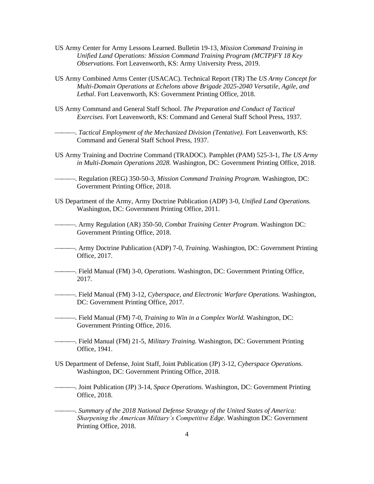- US Army Center for Army Lessons Learned. Bulletin 19-13, *Mission Command Training in Unified Land Operations: Mission Command Training Program (MCTP)FY 18 Key Observations*. Fort Leavenworth, KS: Army University Press, 2019.
- US Army Combined Arms Center (USACAC). Technical Report (TR) The *US Army Concept for Multi-Domain Operations at Echelons above Brigade 2025-2040 Versatile, Agile, and Lethal*. Fort Leavenworth, KS: Government Printing Office, 2018.
- US Army Command and General Staff School. *The Preparation and Conduct of Tactical Exercises.* Fort Leavenworth, KS: Command and General Staff School Press, 1937.

⎯⎯⎯. *Tactical Employment of the Mechanized Division (Tentative).* Fort Leavenworth, KS: Command and General Staff School Press, 1937.

US Army Training and Doctrine Command (TRADOC). Pamphlet (PAM) 525-3-1, *The US Army in Multi-Domain Operations 2028.* Washington, DC: Government Printing Office, 2018.

⎯⎯⎯. Regulation (REG) 350-50-3, *Mission Command Training Program.* Washington, DC: Government Printing Office, 2018.

US Department of the Army, Army Doctrine Publication (ADP) 3-0, *Unified Land Operations.*  Washington, DC: Government Printing Office, 2011.

⎯⎯⎯. Army Regulation (AR) 350-50, *Combat Training Center Program*. Washington DC: Government Printing Office, 2018.

- Army Doctrine Publication (ADP) 7-0, *Training*. Washington, DC: Government Printing Office, 2017.

- -. Field Manual (FM) 3-0, *Operations*. Washington, DC: Government Printing Office, 2017.
- —— Field Manual (FM) 3-12, *Cyberspace, and Electronic Warfare Operations*. Washington, DC: Government Printing Office, 2017.

⎯⎯⎯. Field Manual (FM) 7-0, *Training to Win in a Complex World.* Washington, DC: Government Printing Office, 2016.

- ⎯⎯⎯. Field Manual (FM) 21-5, *Military Training.* Washington, DC: Government Printing Office, 1941.
- US Department of Defense, Joint Staff, Joint Publication (JP) 3-12, *Cyberspace Operations.*  Washington, DC: Government Printing Office, 2018.
	- Joint Publication (JP) 3-14, *Space Operations*. Washington, DC: Government Printing Office, 2018.

⎯⎯⎯. *Summary of the 2018 National Defense Strategy of the United States of America: Sharpening the American Military's Competitive Edge*. Washington DC: Government Printing Office, 2018.